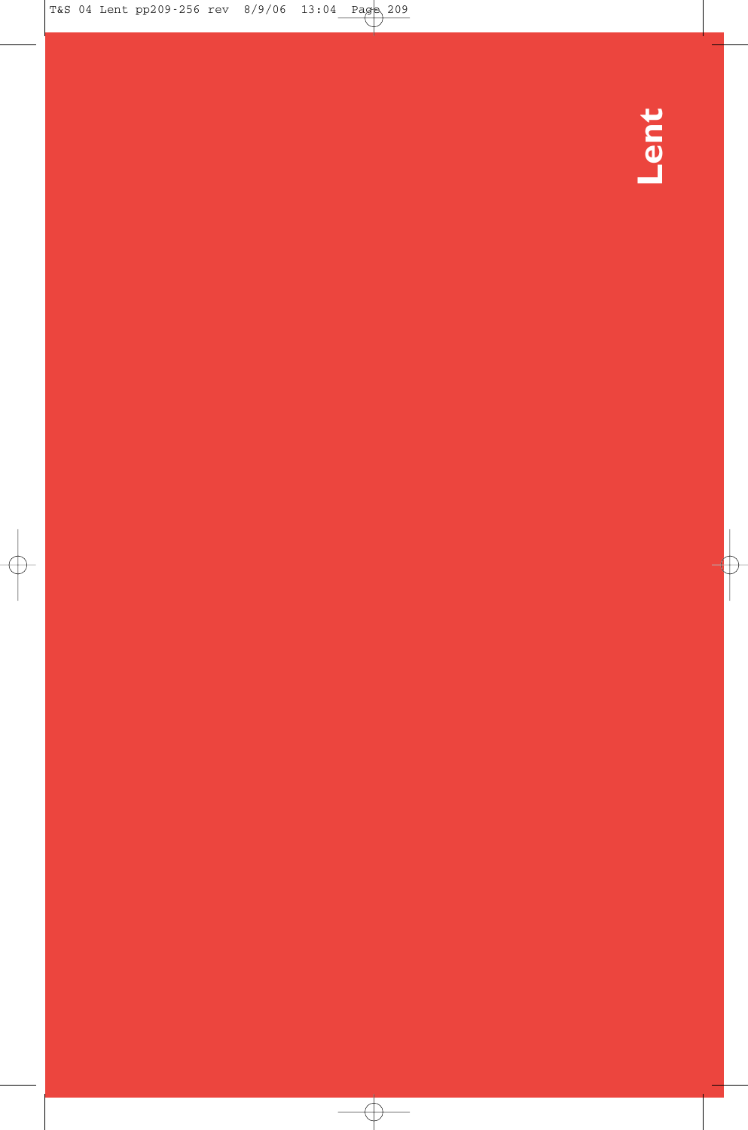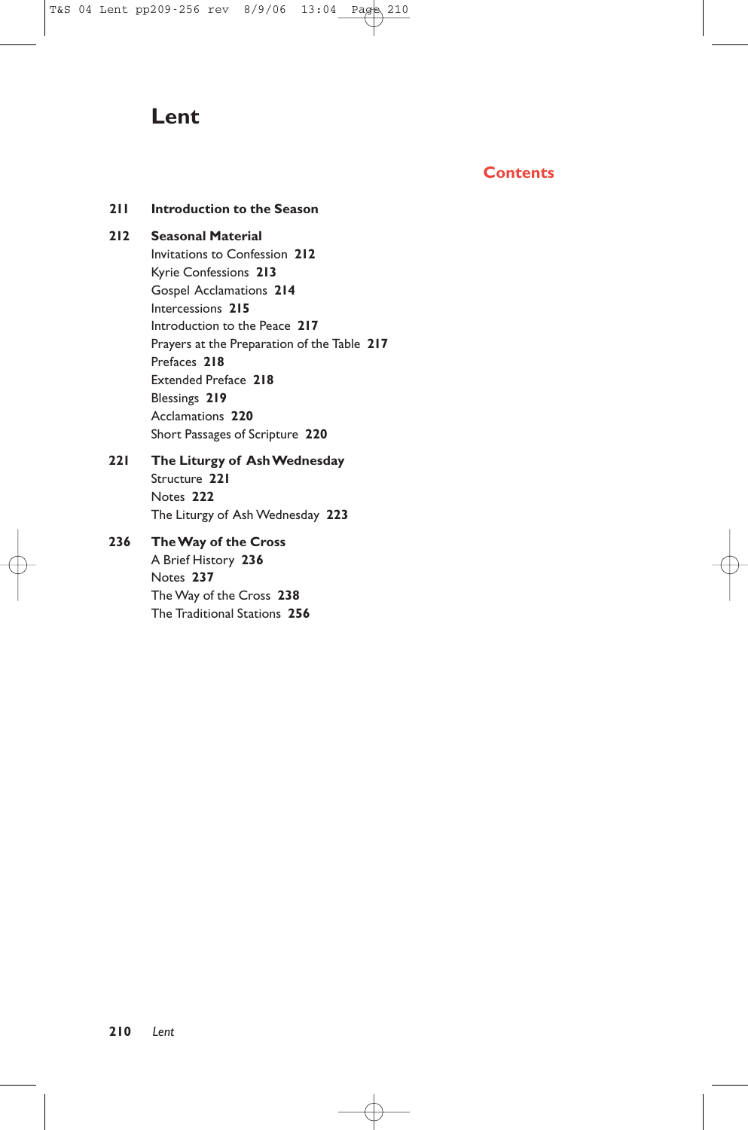# **Lent**

# **Contents**

# **211 Introduction to the Season 212 Seasonal Material** Invitations to Confession **212** Kyrie Confessions **213** Gospel Acclamations **214** Intercessions **215** Introduction to the Peace **217** Prayers at the Preparation of the Table **217** Prefaces **218** Extended Preface **218** Blessings **219** Acclamations **220**

Short Passages of Scripture **220**

### **221 The Liturgy of Ash Wednesday** Structure **221** Notes **222** The Liturgy of Ash Wednesday **223**

#### **236 The Way of the Cross** A Brief History **236** Notes **237** The Way of the Cross **238** The Traditional Stations **256**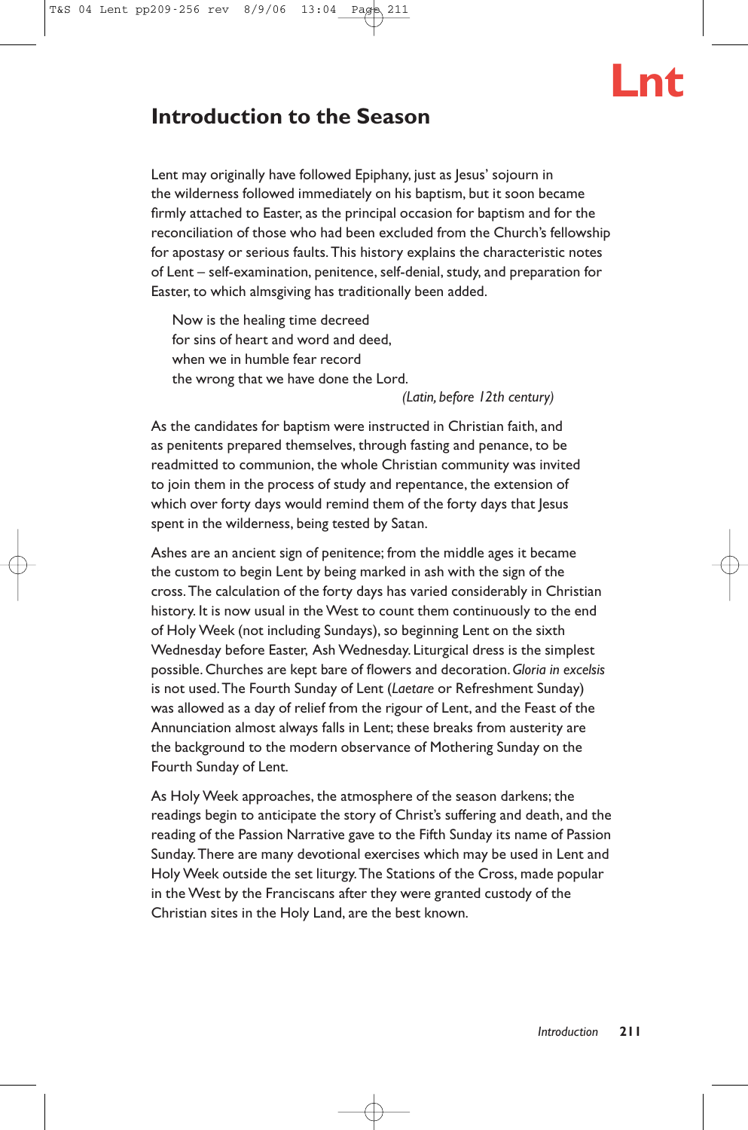

# **Introduction to the Season**

Lent may originally have followed Epiphany, just as Jesus' sojourn in the wilderness followed immediately on his baptism, but it soon became firmly attached to Easter, as the principal occasion for baptism and for the reconciliation of those who had been excluded from the Church's fellowship for apostasy or serious faults.This history explains the characteristic notes of Lent – self-examination, penitence, self-denial, study, and preparation for Easter, to which almsgiving has traditionally been added.

Now is the healing time decreed for sins of heart and word and deed, when we in humble fear record the wrong that we have done the Lord.

*(Latin, before 12th century)*

As the candidates for baptism were instructed in Christian faith, and as penitents prepared themselves, through fasting and penance, to be readmitted to communion, the whole Christian community was invited to join them in the process of study and repentance, the extension of which over forty days would remind them of the forty days that lesus spent in the wilderness, being tested by Satan.

Ashes are an ancient sign of penitence; from the middle ages it became the custom to begin Lent by being marked in ash with the sign of the cross.The calculation of the forty days has varied considerably in Christian history. It is now usual in the West to count them continuously to the end of Holy Week (not including Sundays), so beginning Lent on the sixth Wednesday before Easter, Ash Wednesday. Liturgical dress is the simplest possible. Churches are kept bare of flowers and decoration.*Gloria in excelsis*  is not used.The Fourth Sunday of Lent (*Laetare* or Refreshment Sunday) was allowed as a day of relief from the rigour of Lent, and the Feast of the Annunciation almost always falls in Lent; these breaks from austerity are the background to the modern observance of Mothering Sunday on the Fourth Sunday of Lent.

As Holy Week approaches, the atmosphere of the season darkens; the readings begin to anticipate the story of Christ's suffering and death, and the reading of the Passion Narrative gave to the Fifth Sunday its name of Passion Sunday.There are many devotional exercises which may be used in Lent and Holy Week outside the set liturgy.The Stations of the Cross, made popular in the West by the Franciscans after they were granted custody of the Christian sites in the Holy Land, are the best known.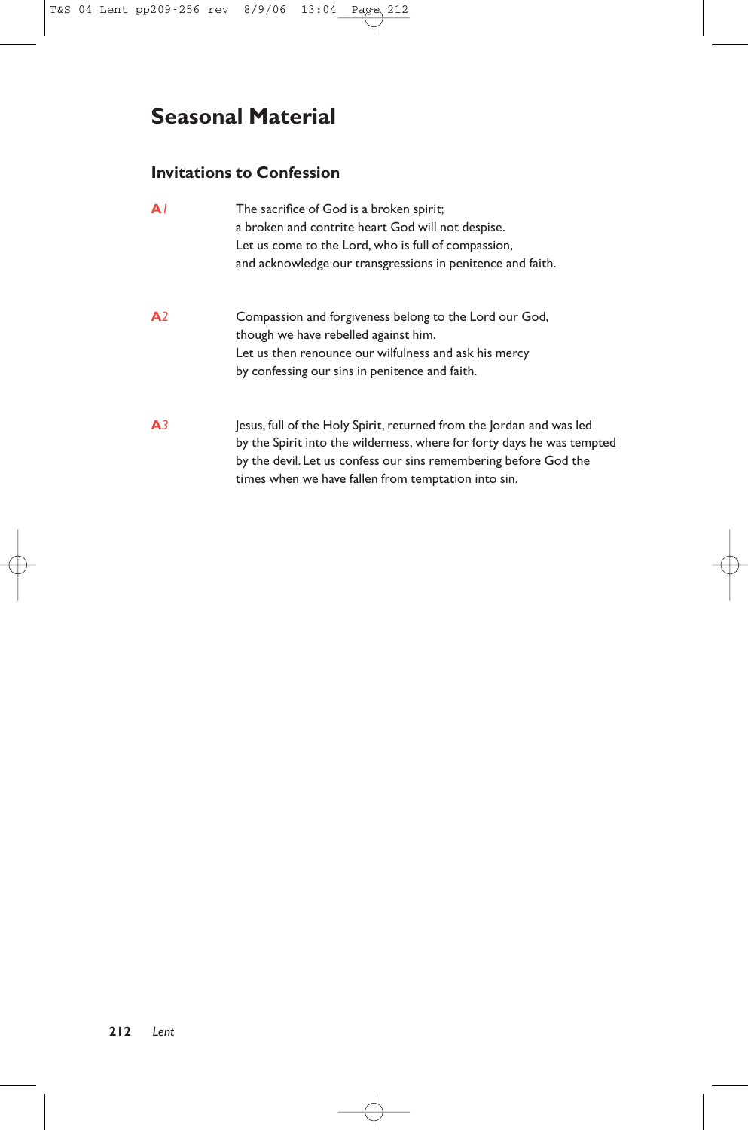# **Seasonal Material**

# **Invitations to Confession**

| AΙ | The sacrifice of God is a broken spirit;<br>a broken and contrite heart God will not despise.<br>Let us come to the Lord, who is full of compassion,<br>and acknowledge our transgressions in penitence and faith.                                                        |
|----|---------------------------------------------------------------------------------------------------------------------------------------------------------------------------------------------------------------------------------------------------------------------------|
| А2 | Compassion and forgiveness belong to the Lord our God,<br>though we have rebelled against him.<br>Let us then renounce our wilfulness and ask his mercy<br>by confessing our sins in penitence and faith.                                                                 |
| А3 | Jesus, full of the Holy Spirit, returned from the Jordan and was led<br>by the Spirit into the wilderness, where for forty days he was tempted<br>by the devil. Let us confess our sins remembering before God the<br>times when we have fallen from temptation into sin. |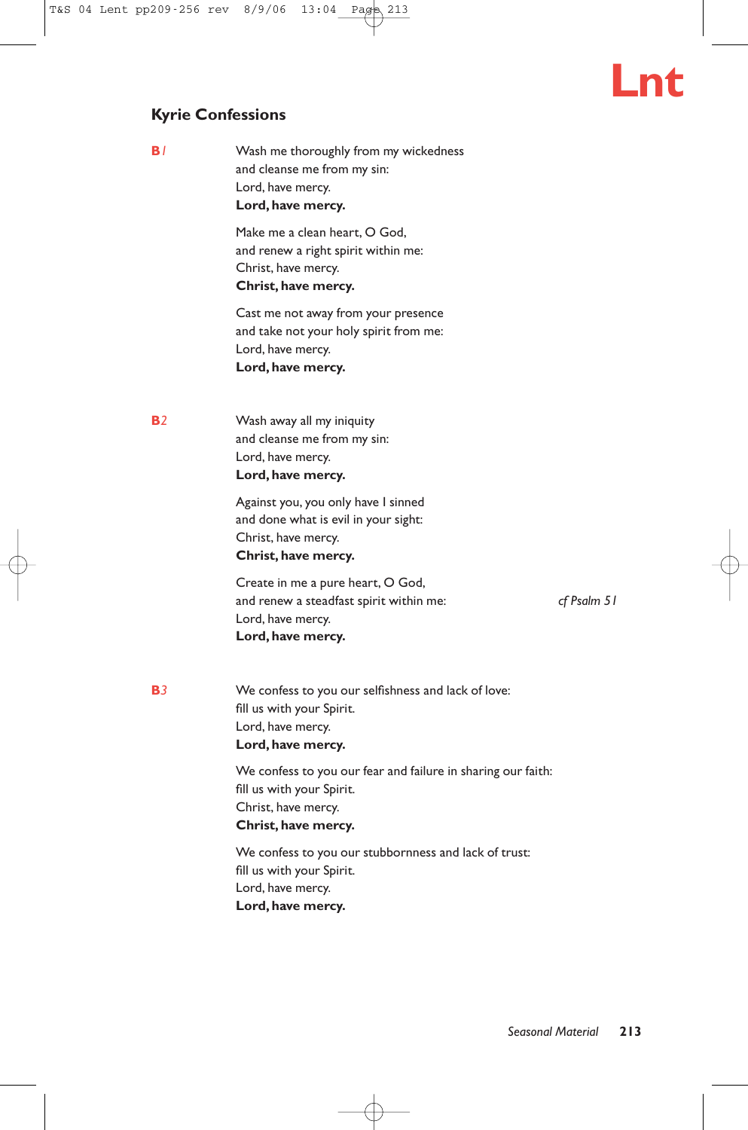# **Kyrie Confessions**

**B**<sup>1</sup> Wash me thoroughly from my wickedness and cleanse me from my sin: Lord, have mercy. **Lord, have mercy.**

> Make me a clean heart, O God, and renew a right spirit within me: Christ, have mercy. **Christ, have mercy.**

Cast me not away from your presence and take not your holy spirit from me: Lord, have mercy. **Lord, have mercy.**

**B***2* Wash away all my iniquity and cleanse me from my sin: Lord, have mercy. **Lord, have mercy.**

> Against you, you only have I sinned and done what is evil in your sight: Christ, have mercy. **Christ, have mercy.**

Create in me a pure heart, O God, and renew a steadfast spirit within me: *cf Psalm 51* Lord, have mercy. **Lord, have mercy.**

**B***3* We confess to you our selfishness and lack of love: fill us with your Spirit. Lord, have mercy. **Lord, have mercy.**

> We confess to you our fear and failure in sharing our faith: fill us with your Spirit. Christ, have mercy. **Christ, have mercy.**

We confess to you our stubbornness and lack of trust: fill us with your Spirit. Lord, have mercy. **Lord, have mercy.**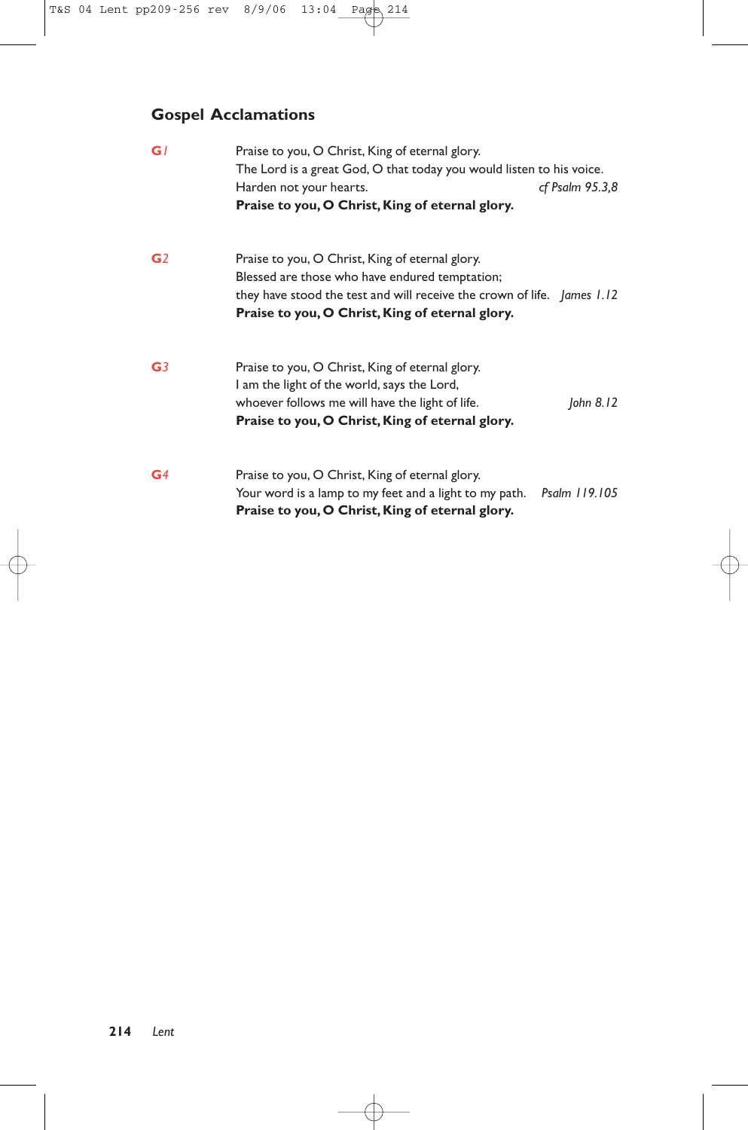# **Gospel Acclamations**

| G/             | Praise to you, O Christ, King of eternal glory.                         |  |  |
|----------------|-------------------------------------------------------------------------|--|--|
|                | The Lord is a great God, O that today you would listen to his voice.    |  |  |
|                | Harden not your hearts.<br>cf Psalm 95.3,8                              |  |  |
|                | Praise to you, O Christ, King of eternal glory.                         |  |  |
| G <sub>2</sub> | Praise to you, O Christ, King of eternal glory.                         |  |  |
|                | Blessed are those who have endured temptation;                          |  |  |
|                | they have stood the test and will receive the crown of life. James 1.12 |  |  |
|                | Praise to you, O Christ, King of eternal glory.                         |  |  |
| G <sub>3</sub> | Praise to you, O Christ, King of eternal glory.                         |  |  |
|                | I am the light of the world, says the Lord,                             |  |  |
|                | whoever follows me will have the light of life.<br>John $8.12$          |  |  |
|                | Praise to you, O Christ, King of eternal glory.                         |  |  |
| G <sub>4</sub> | Praise to you, O Christ, King of eternal glory.                         |  |  |
|                | Your word is a lamp to my feet and a light to my path.<br>Psalm 119.105 |  |  |
|                | Praise to you, O Christ, King of eternal glory.                         |  |  |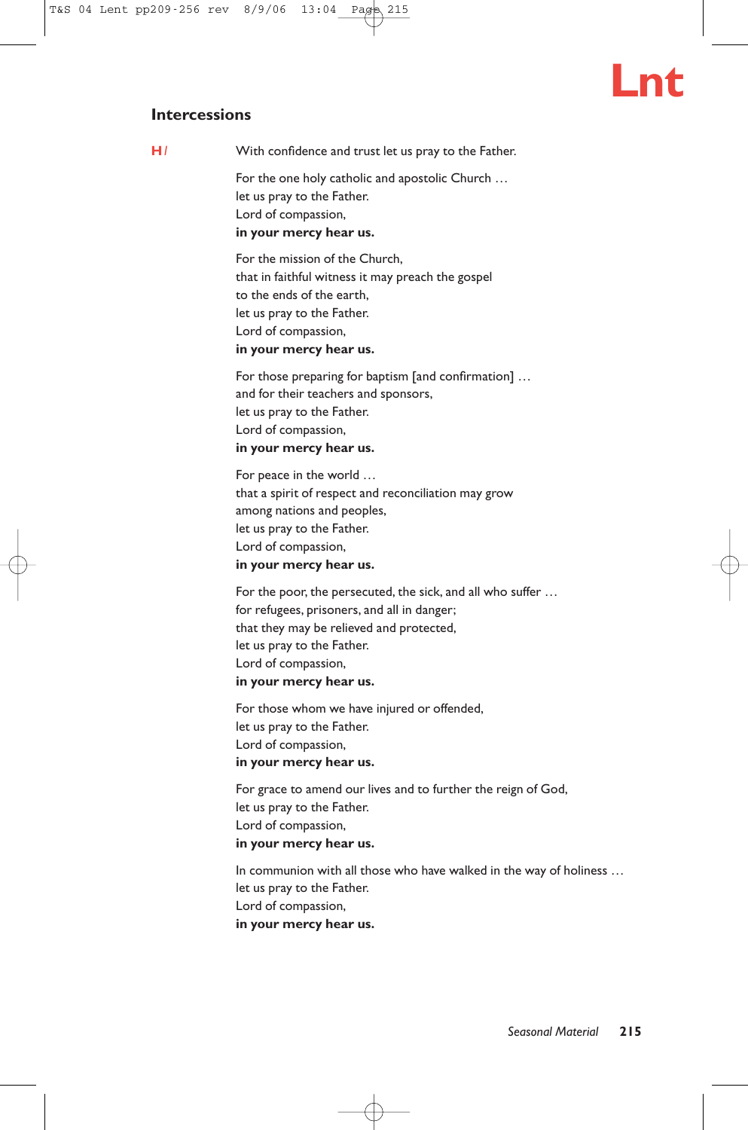### **Intercessions**

**H***1* With confidence and trust let us pray to the Father.

For the one holy catholic and apostolic Church … let us pray to the Father. Lord of compassion, **in your mercy hear us.**

For the mission of the Church, that in faithful witness it may preach the gospel to the ends of the earth, let us pray to the Father. Lord of compassion, **in your mercy hear us.**

For those preparing for baptism [and confirmation] … and for their teachers and sponsors, let us pray to the Father. Lord of compassion, **in your mercy hear us.**

For peace in the world … that a spirit of respect and reconciliation may grow among nations and peoples, let us pray to the Father. Lord of compassion, **in your mercy hear us.**

For the poor, the persecuted, the sick, and all who suffer … for refugees, prisoners, and all in danger; that they may be relieved and protected, let us pray to the Father. Lord of compassion, **in your mercy hear us.**

For those whom we have injured or offended, let us pray to the Father. Lord of compassion, **in your mercy hear us.**

For grace to amend our lives and to further the reign of God, let us pray to the Father. Lord of compassion, **in your mercy hear us.**

In communion with all those who have walked in the way of holiness … let us pray to the Father. Lord of compassion, **in your mercy hear us.**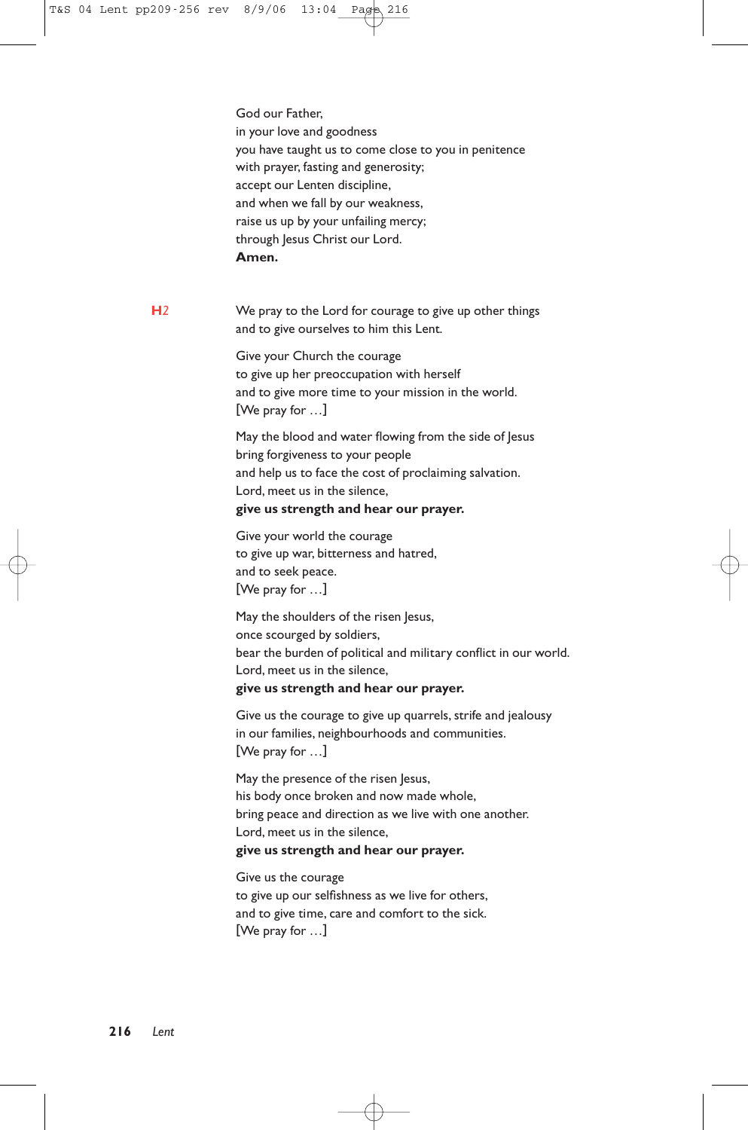God our Father, in your love and goodness you have taught us to come close to you in penitence with prayer, fasting and generosity; accept our Lenten discipline, and when we fall by our weakness, raise us up by your unfailing mercy; through Jesus Christ our Lord. **Amen.**

**H***2* We pray to the Lord for courage to give up other things and to give ourselves to him this Lent.

> Give your Church the courage to give up her preoccupation with herself and to give more time to your mission in the world. [We pray for …]

May the blood and water flowing from the side of Jesus bring forgiveness to your people and help us to face the cost of proclaiming salvation. Lord, meet us in the silence,

#### **give us strength and hear our prayer.**

Give your world the courage to give up war, bitterness and hatred, and to seek peace. [We pray for …]

May the shoulders of the risen Jesus, once scourged by soldiers, bear the burden of political and military conflict in our world. Lord, meet us in the silence, **give us strength and hear our prayer.**

Give us the courage to give up quarrels, strife and jealousy in our families, neighbourhoods and communities. [We pray for …]

May the presence of the risen Jesus, his body once broken and now made whole, bring peace and direction as we live with one another. Lord, meet us in the silence, **give us strength and hear our prayer.**

Give us the courage to give up our selfishness as we live for others, and to give time, care and comfort to the sick. [We pray for …]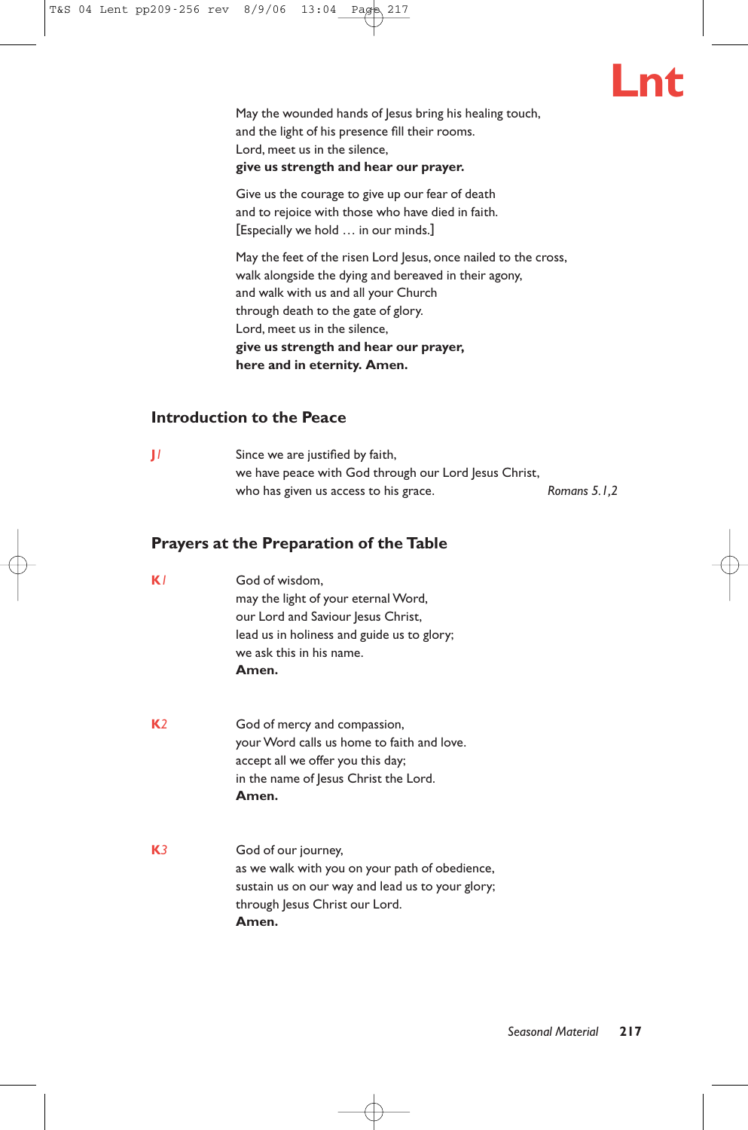May the wounded hands of Jesus bring his healing touch, and the light of his presence fill their rooms. Lord, meet us in the silence, **give us strength and hear our prayer.**

Give us the courage to give up our fear of death and to rejoice with those who have died in faith. [Especially we hold … in our minds.]

May the feet of the risen Lord Jesus, once nailed to the cross, walk alongside the dying and bereaved in their agony, and walk with us and all your Church through death to the gate of glory. Lord, meet us in the silence, **give us strength and hear our prayer, here and in eternity. Amen.**

## **Introduction to the Peace**

**J***1* Since we are justified by faith, we have peace with God through our Lord Jesus Christ, who has given us access to his grace. *Romans 5.1,2* 

# **Prayers at the Preparation of the Table**

| K I | God of wisdom,                             |
|-----|--------------------------------------------|
|     | may the light of your eternal Word,        |
|     | our Lord and Saviour Jesus Christ,         |
|     | lead us in holiness and guide us to glory; |
|     | we ask this in his name.                   |
|     | Amen.                                      |
|     |                                            |

- **K***2* God of mercy and compassion, your Word calls us home to faith and love. accept all we offer you this day; in the name of Jesus Christ the Lord. **Amen.**
- **K***3* God of our journey, as we walk with you on your path of obedience, sustain us on our way and lead us to your glory; through Jesus Christ our Lord. **Amen.**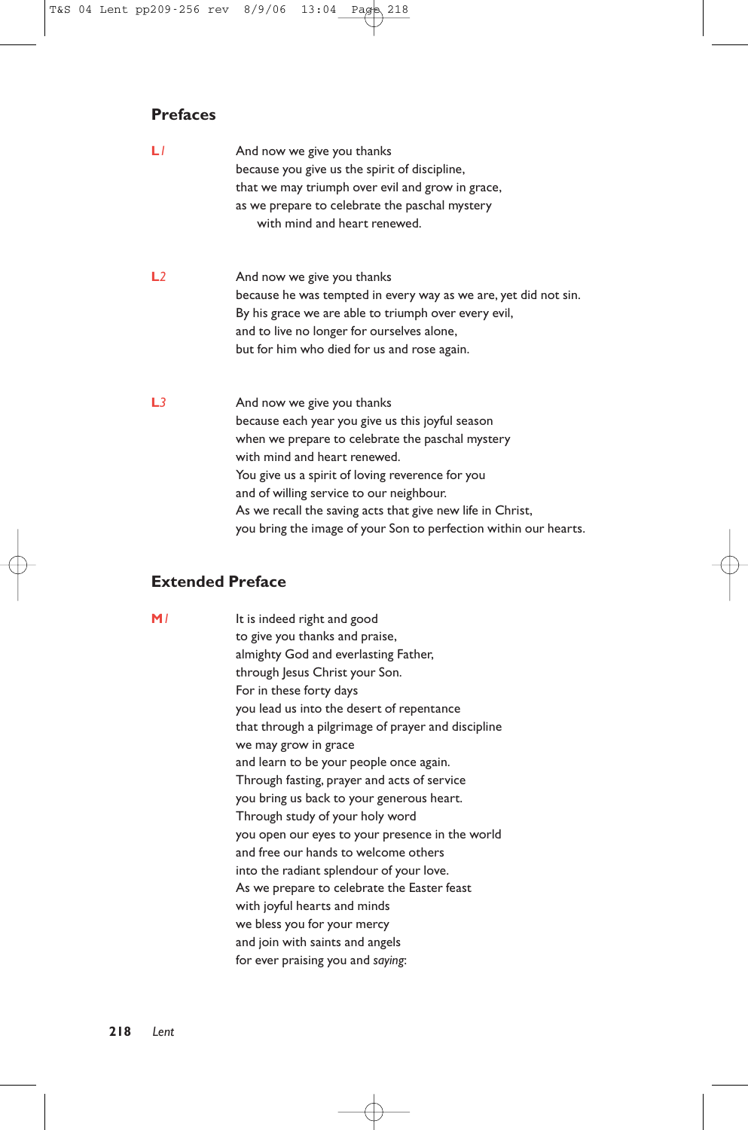## **Prefaces**

| LI             | And now we give you thanks<br>because you give us the spirit of discipline,<br>that we may triumph over evil and grow in grace,<br>as we prepare to celebrate the paschal mystery<br>with mind and heart renewed.                                                                                                                                                                                    |
|----------------|------------------------------------------------------------------------------------------------------------------------------------------------------------------------------------------------------------------------------------------------------------------------------------------------------------------------------------------------------------------------------------------------------|
| L2             | And now we give you thanks<br>because he was tempted in every way as we are, yet did not sin.<br>By his grace we are able to triumph over every evil,<br>and to live no longer for ourselves alone,<br>but for him who died for us and rose again.                                                                                                                                                   |
| L <sub>3</sub> | And now we give you thanks<br>because each year you give us this joyful season<br>when we prepare to celebrate the paschal mystery<br>with mind and heart renewed.<br>You give us a spirit of loving reverence for you<br>and of willing service to our neighbour.<br>As we recall the saving acts that give new life in Christ,<br>you bring the image of your Son to perfection within our hearts. |

## **Extended Preface**

**M**<sup>*1*</sup> It is indeed right and good to give you thanks and praise, almighty God and everlasting Father, through Jesus Christ your Son. For in these forty days you lead us into the desert of repentance that through a pilgrimage of prayer and discipline we may grow in grace and learn to be your people once again. Through fasting, prayer and acts of service you bring us back to your generous heart. Through study of your holy word you open our eyes to your presence in the world and free our hands to welcome others into the radiant splendour of your love. As we prepare to celebrate the Easter feast with joyful hearts and minds we bless you for your mercy and join with saints and angels for ever praising you and *saying*: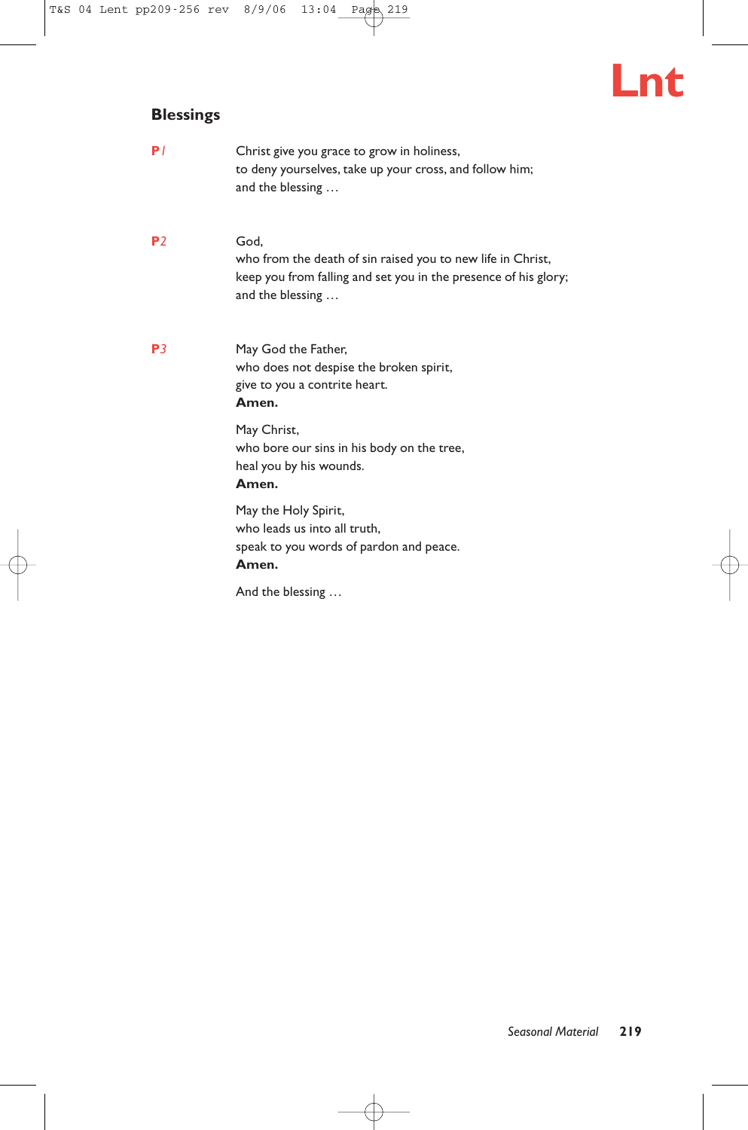# **Blessings**

| Christ give you grace to grow in holiness,<br>to deny yourselves, take up your cross, and follow him;<br>and the blessing                                  |
|------------------------------------------------------------------------------------------------------------------------------------------------------------|
| God.<br>who from the death of sin raised you to new life in Christ,<br>keep you from falling and set you in the presence of his glory;<br>and the blessing |
| May God the Father,<br>who does not despise the broken spirit,<br>give to you a contrite heart.<br>Amen.                                                   |
| May Christ,<br>who bore our sins in his body on the tree,<br>heal you by his wounds.<br>Amen.                                                              |
| May the Holy Spirit,<br>who leads us into all truth,<br>speak to you words of pardon and peace.                                                            |
| Amen.                                                                                                                                                      |
|                                                                                                                                                            |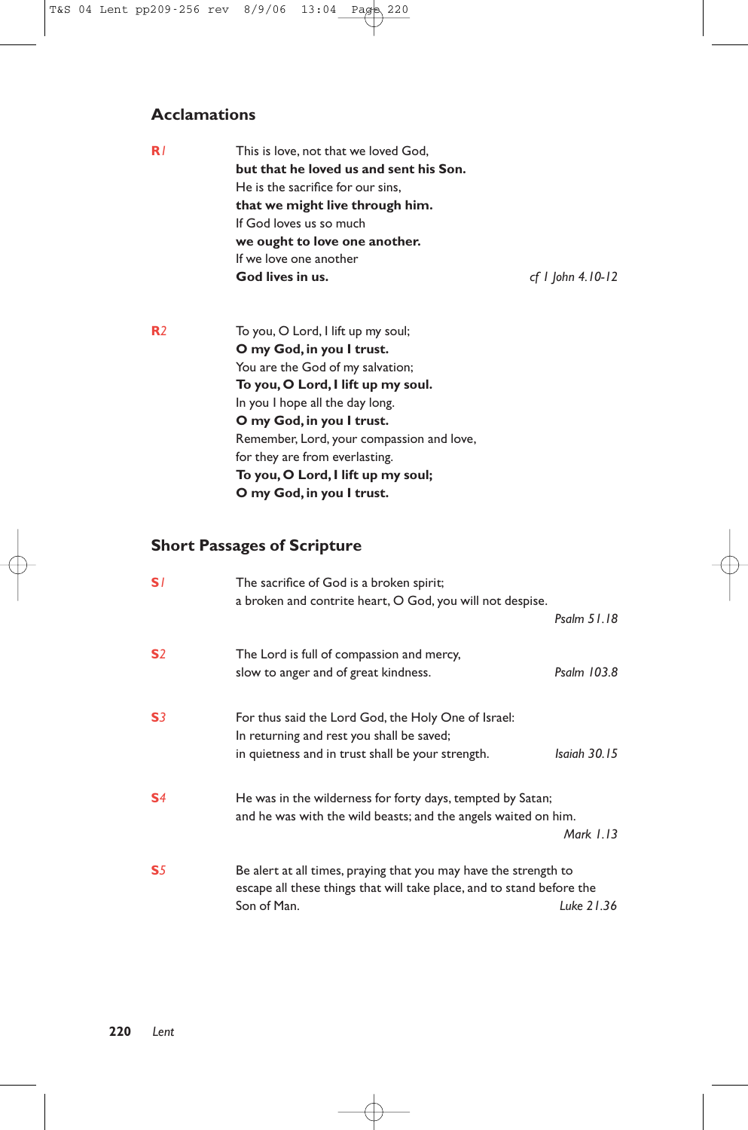# **Acclamations**

**R***1* This is love, not that we loved God, **but that he loved us and sent his Son.** He is the sacrifice for our sins, **that we might live through him.** If God loves us so much **we ought to love one another.** If we love one another **God lives in us.** *cf 1 John 4.10-12* 

**R***2* To you, O Lord, I lift up my soul; **O my God, in you I trust.** You are the God of my salvation; **To you, O Lord, I lift up my soul.** In you I hope all the day long. **O my God, in you I trust.** Remember, Lord, your compassion and love, for they are from everlasting. **To you, O Lord, I lift up my soul; O my God, in you I trust.**

# **Short Passages of Scripture**

| S <sub>1</sub> | The sacrifice of God is a broken spirit;<br>a broken and contrite heart, O God, you will not despise.                                                    |              |
|----------------|----------------------------------------------------------------------------------------------------------------------------------------------------------|--------------|
|                |                                                                                                                                                          | Psalm 51.18  |
| S <sub>2</sub> | The Lord is full of compassion and mercy,<br>slow to anger and of great kindness.                                                                        | Psalm 103.8  |
| S <sub>3</sub> | For thus said the Lord God, the Holy One of Israel:<br>In returning and rest you shall be saved;<br>in quietness and in trust shall be your strength.    | Isaiah 30.15 |
| S <sub>4</sub> | He was in the wilderness for forty days, tempted by Satan;<br>and he was with the wild beasts; and the angels waited on him.                             | Mark 1.13    |
| S <sub>5</sub> | Be alert at all times, praying that you may have the strength to<br>escape all these things that will take place, and to stand before the<br>Son of Man. | Luke 21.36   |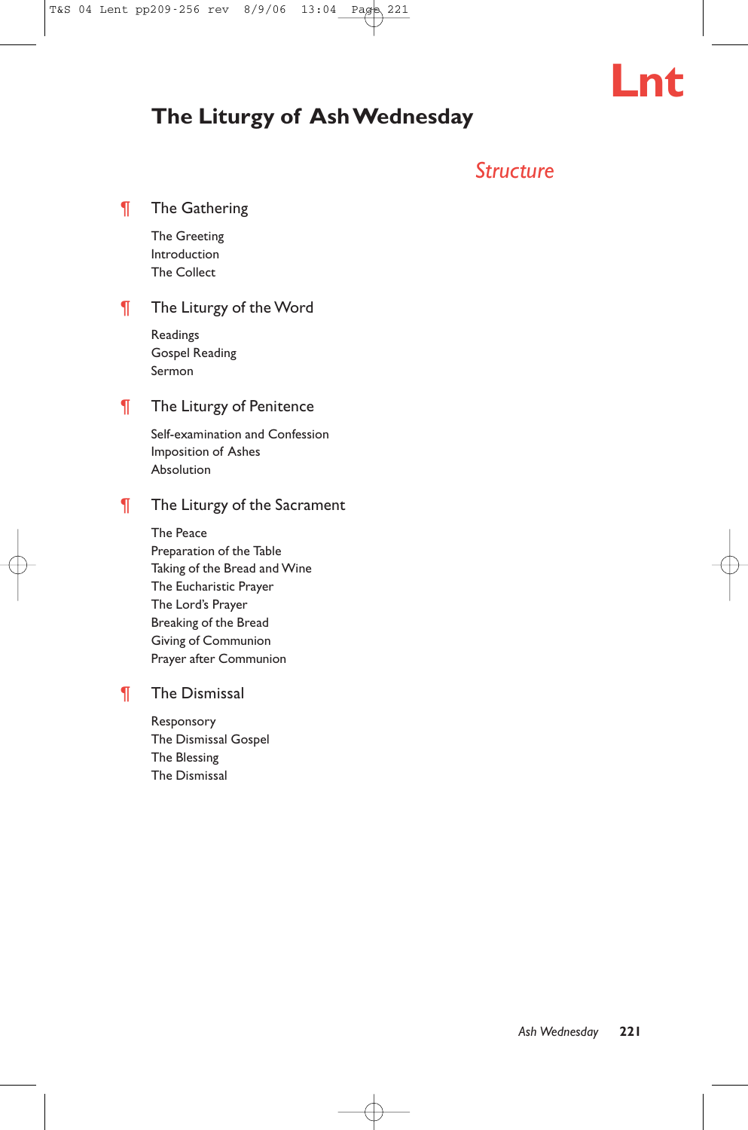# **The Liturgy of Ash Wednesday**

# *Structure*

### ¶ The Gathering

The Greeting Introduction The Collect

## **The Liturgy of the Word**

Readings Gospel Reading Sermon

# **The Liturgy of Penitence**

Self-examination and Confession Imposition of Ashes Absolution

### **The Liturgy of the Sacrament**

The Peace Preparation of the Table Taking of the Bread and Wine The Eucharistic Prayer The Lord's Prayer Breaking of the Bread Giving of Communion Prayer after Communion

## ¶ The Dismissal

Responsory The Dismissal Gospel The Blessing The Dismissal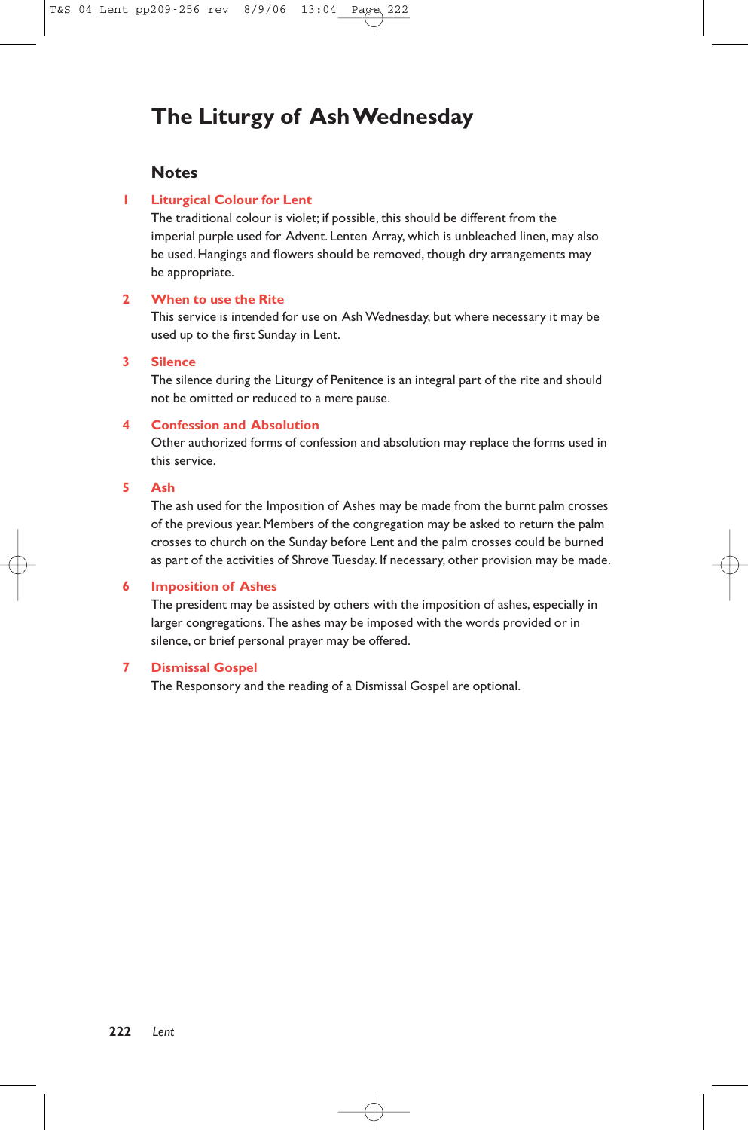# **The Liturgy of Ash Wednesday**

### **Notes**

#### **1 Liturgical Colour for Lent**

The traditional colour is violet; if possible, this should be different from the imperial purple used for Advent. Lenten Array, which is unbleached linen, may also be used. Hangings and flowers should be removed, though dry arrangements may be appropriate.

#### **2 When to use the Rite**

This service is intended for use on Ash Wednesday, but where necessary it may be used up to the first Sunday in Lent.

#### **3 Silence**

The silence during the Liturgy of Penitence is an integral part of the rite and should not be omitted or reduced to a mere pause.

#### **4 Confession and Absolution**

Other authorized forms of confession and absolution may replace the forms used in this service.

#### **5 Ash**

The ash used for the Imposition of Ashes may be made from the burnt palm crosses of the previous year. Members of the congregation may be asked to return the palm crosses to church on the Sunday before Lent and the palm crosses could be burned as part of the activities of Shrove Tuesday. If necessary, other provision may be made.

#### **6 Imposition of Ashes**

The president may be assisted by others with the imposition of ashes, especially in larger congregations.The ashes may be imposed with the words provided or in silence, or brief personal prayer may be offered.

#### **7 Dismissal Gospel**

The Responsory and the reading of a Dismissal Gospel are optional.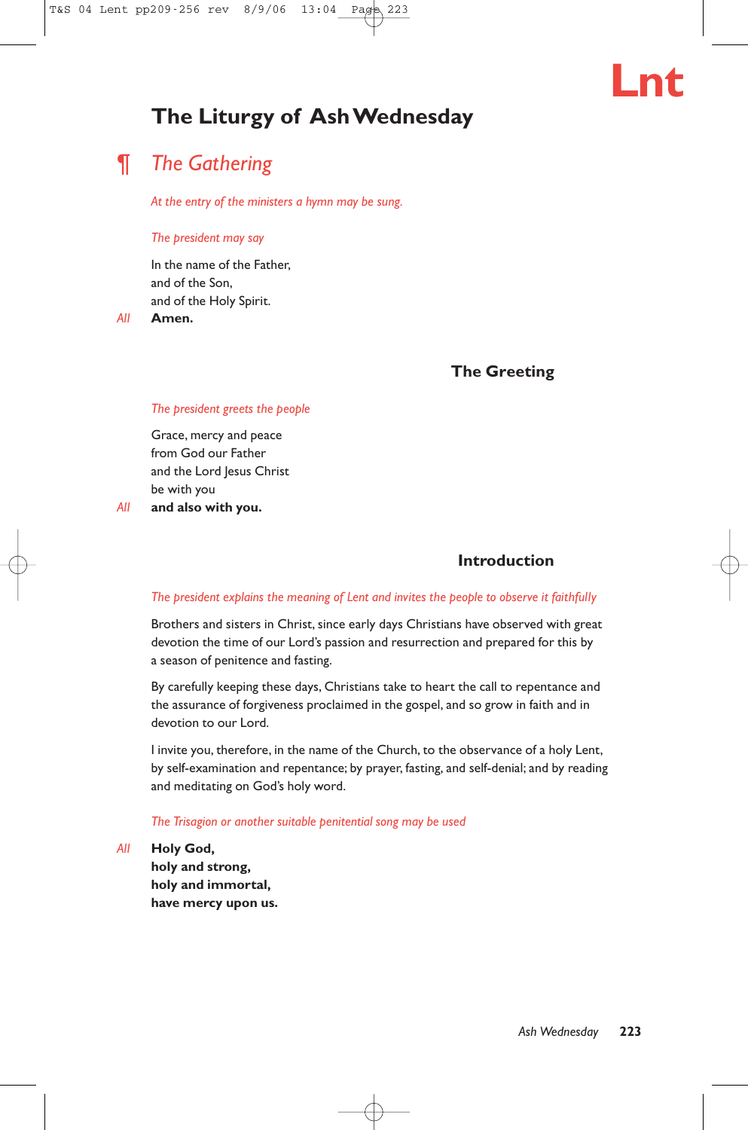# **The Liturgy of Ash Wednesday**

# ¶ *The Gathering*

*At the entry of the ministers a hymn may be sung.*

#### *The president may say*

In the name of the Father, and of the Son, and of the Holy Spirit.

*All* **Amen.**

#### **The Greeting**

**Lnt**

#### *The president greets the people*

Grace, mercy and peace from God our Father and the Lord Jesus Christ be with you *All* **and also with you.**

## **Introduction**

#### *The president explains the meaning of Lent and invites the people to observe it faithfully*

Brothers and sisters in Christ, since early days Christians have observed with great devotion the time of our Lord's passion and resurrection and prepared for this by a season of penitence and fasting.

By carefully keeping these days, Christians take to heart the call to repentance and the assurance of forgiveness proclaimed in the gospel, and so grow in faith and in devotion to our Lord.

I invite you, therefore, in the name of the Church, to the observance of a holy Lent, by self-examination and repentance; by prayer, fasting, and self-denial; and by reading and meditating on God's holy word.

*The Trisagion or another suitable penitential song may be used*

*All* **Holy God,**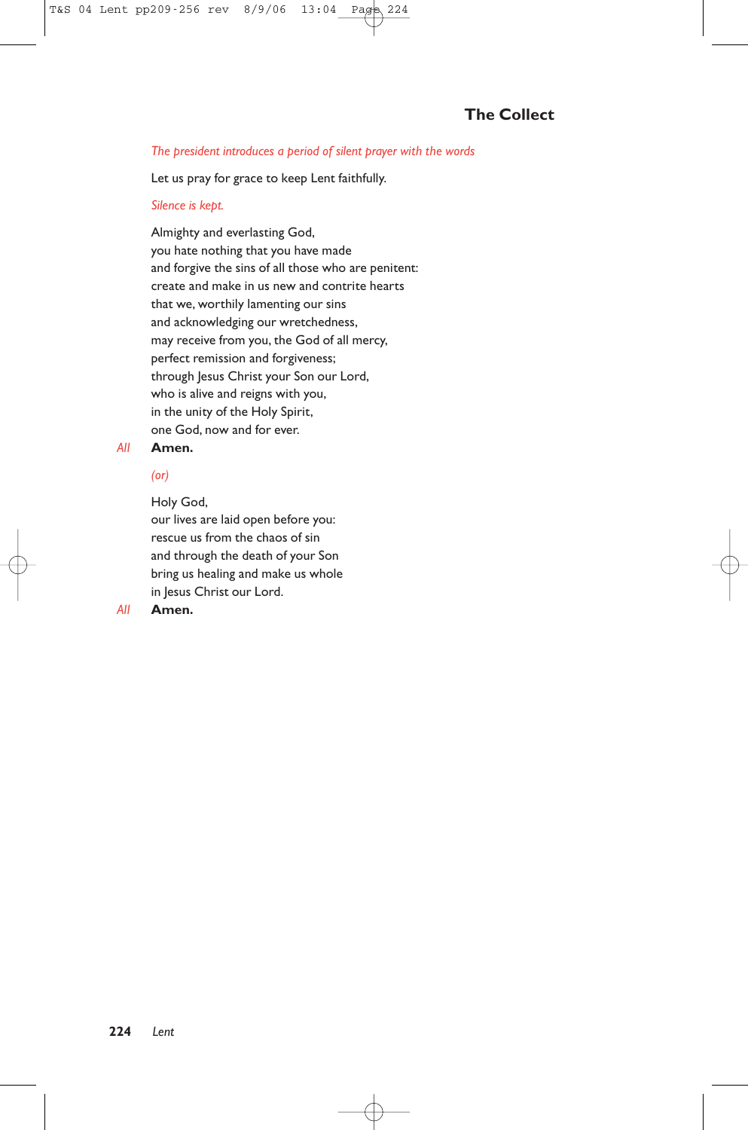#### *The president introduces a period of silent prayer with the words*

Let us pray for grace to keep Lent faithfully.

#### *Silence is kept.*

Almighty and everlasting God, you hate nothing that you have made and forgive the sins of all those who are penitent: create and make in us new and contrite hearts that we, worthily lamenting our sins and acknowledging our wretchedness, may receive from you, the God of all mercy, perfect remission and forgiveness; through Jesus Christ your Son our Lord, who is alive and reigns with you, in the unity of the Holy Spirit, one God, now and for ever.

#### *All* **Amen.**

#### *(or)*

Holy God, our lives are laid open before you: rescue us from the chaos of sin and through the death of your Son bring us healing and make us whole in Jesus Christ our Lord.

*All* **Amen.**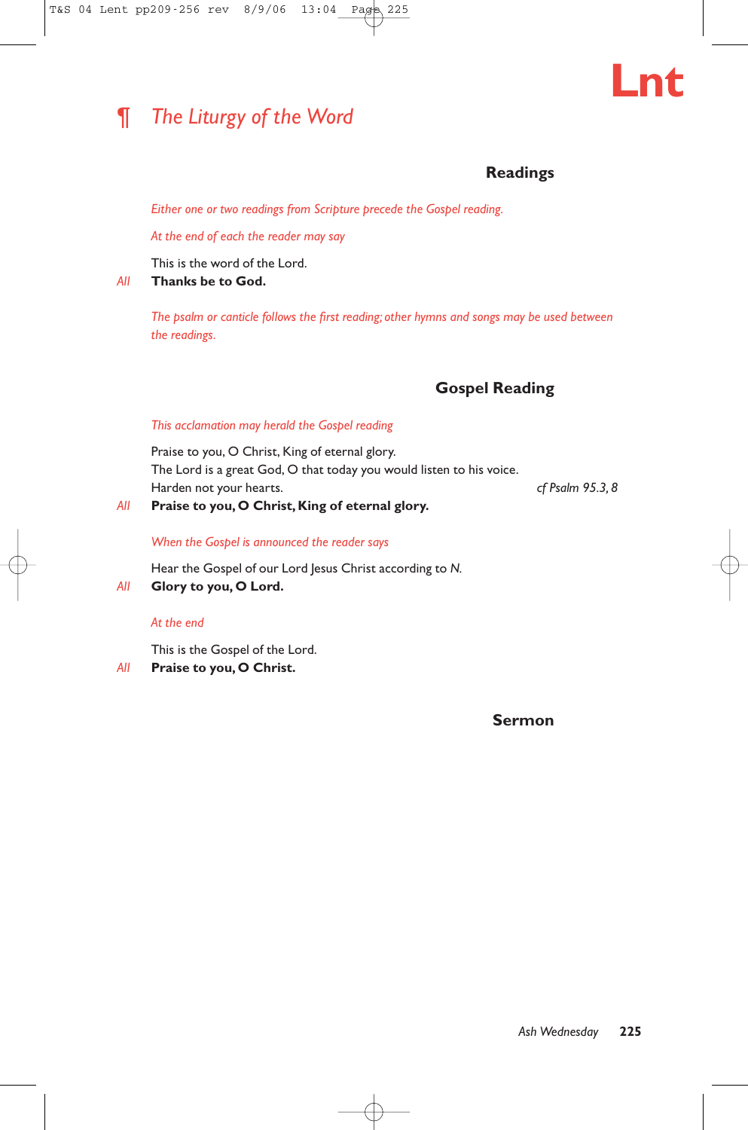# ¶ *The Liturgy of the Word*

## **Readings**

**Lnt**

*Either one or two readings from Scripture precede the Gospel reading.*

*At the end of each the reader may say*

This is the word of the Lord.

*All* **Thanks be to God.**

*The psalm or canticle follows the first reading; other hymns and songs may be used between the readings.*

# **Gospel Reading**

#### *This acclamation may herald the Gospel reading*

Praise to you, O Christ, King of eternal glory. The Lord is a great God, O that today you would listen to his voice. Harden not your hearts. *cf Psalm 95.3, 8*

#### *All* **Praise to you, O Christ, King of eternal glory.**

#### *When the Gospel is announced the reader says*

Hear the Gospel of our Lord Jesus Christ according to *N.*

*All* **Glory to you, O Lord.**

#### *At the end*

This is the Gospel of the Lord. *All* **Praise to you, O Christ.**

**Sermon**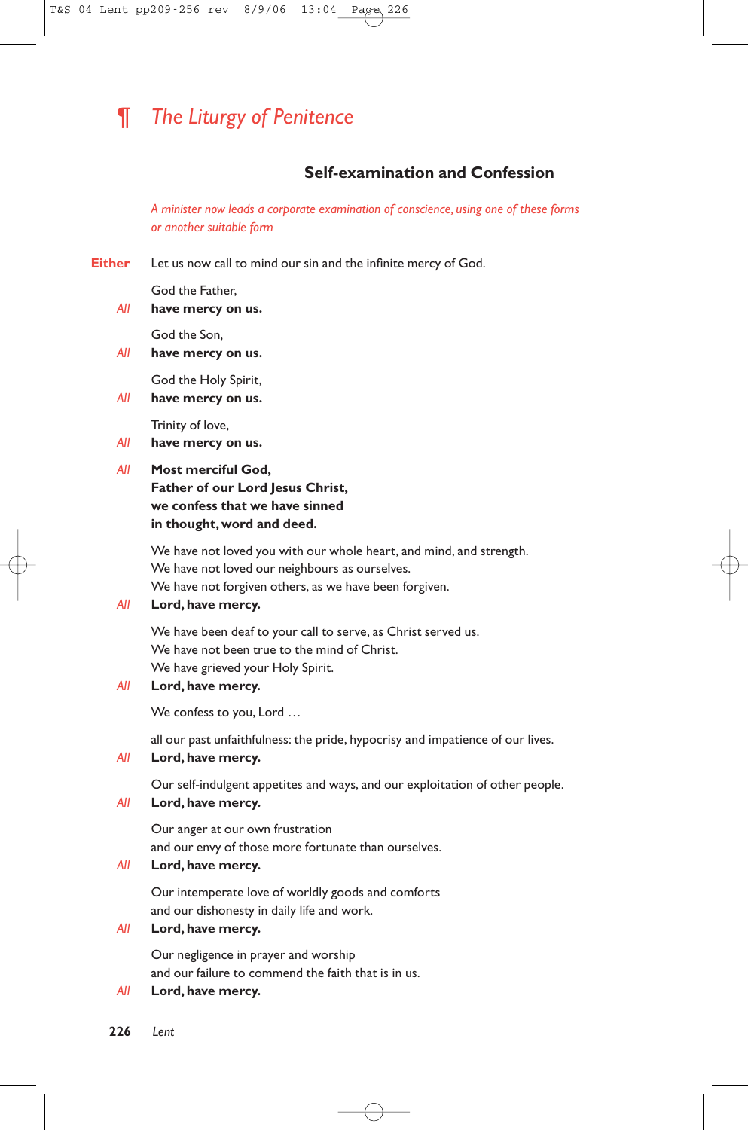# ¶ *The Liturgy of Penitence*

# **Self-examination and Confession**

*A minister now leads a corporate examination of conscience, using one of these forms or another suitable form*

**Either** Let us now call to mind our sin and the infinite mercy of God.

God the Father,

*All* **have mercy on us.**

God the Son,

*All* **have mercy on us.**

God the Holy Spirit,

*All* **have mercy on us.**

Trinity of love,

- *All* **have mercy on us.**
- *All* **Most merciful God, Father of our Lord Jesus Christ, we confess that we have sinned in thought,word and deed.**

We have not loved you with our whole heart, and mind, and strength. We have not loved our neighbours as ourselves. We have not forgiven others, as we have been forgiven.

#### *All* **Lord, have mercy.**

We have been deaf to your call to serve, as Christ served us. We have not been true to the mind of Christ. We have grieved your Holy Spirit.

#### *All* **Lord, have mercy.**

We confess to you, Lord …

all our past unfaithfulness: the pride, hypocrisy and impatience of our lives.

#### *All* **Lord, have mercy.**

Our self-indulgent appetites and ways, and our exploitation of other people.

#### *All* **Lord, have mercy.**

Our anger at our own frustration and our envy of those more fortunate than ourselves.

#### *All* **Lord, have mercy.**

Our intemperate love of worldly goods and comforts and our dishonesty in daily life and work.

#### *All* **Lord, have mercy.**

Our negligence in prayer and worship and our failure to commend the faith that is in us.

#### *All* **Lord, have mercy.**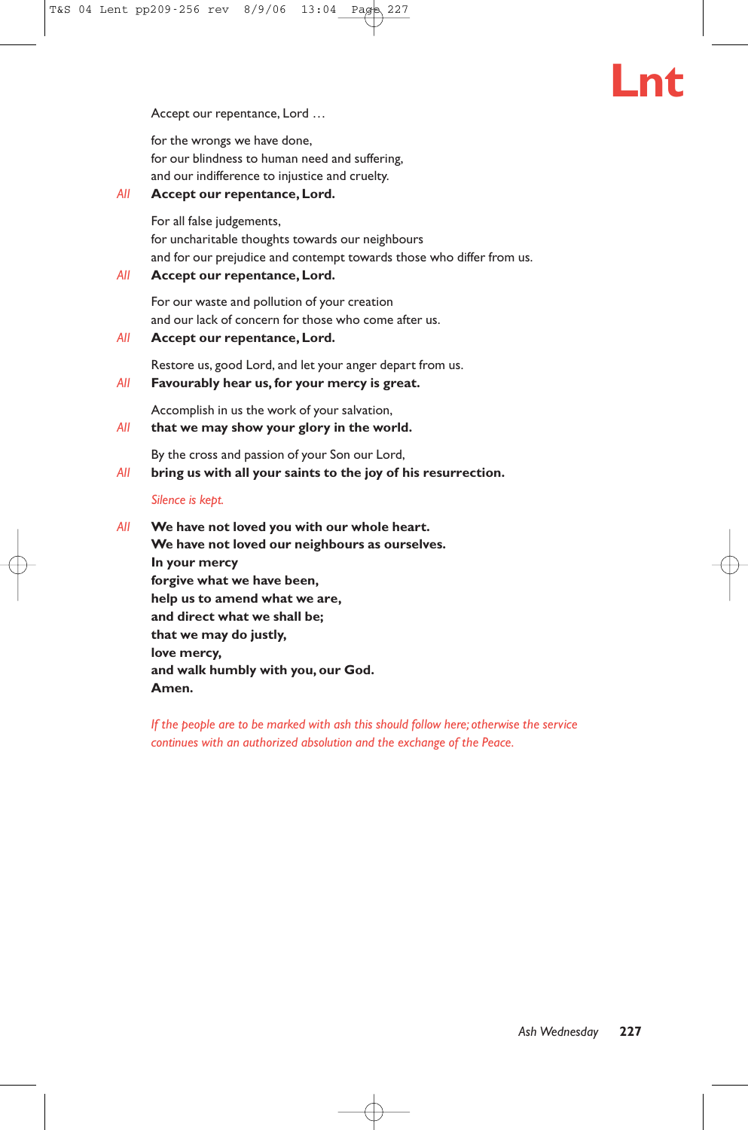Accept our repentance, Lord …

for the wrongs we have done, for our blindness to human need and suffering, and our indifference to injustice and cruelty.

*All* **Accept our repentance, Lord.**

For all false judgements, for uncharitable thoughts towards our neighbours and for our prejudice and contempt towards those who differ from us.

#### *All* **Accept our repentance, Lord.**

For our waste and pollution of your creation and our lack of concern for those who come after us.

#### *All* **Accept our repentance, Lord.**

Restore us, good Lord, and let your anger depart from us.

#### *All* **Favourably hear us, for your mercy is great.**

Accomplish in us the work of your salvation,

*All* **that we may show your glory in the world.**

By the cross and passion of your Son our Lord,

*All* **bring us with all your saints to the joy of his resurrection.**

#### *Silence is kept.*

*All* **We have not loved you with our whole heart. We have not loved our neighbours as ourselves. In your mercy forgive what we have been, help us to amend what we are, and direct what we shall be; that we may do justly, love mercy, and walk humbly with you, our God. Amen.**

> *If the people are to be marked with ash this should follow here; otherwise the service continues with an authorized absolution and the exchange of the Peace.*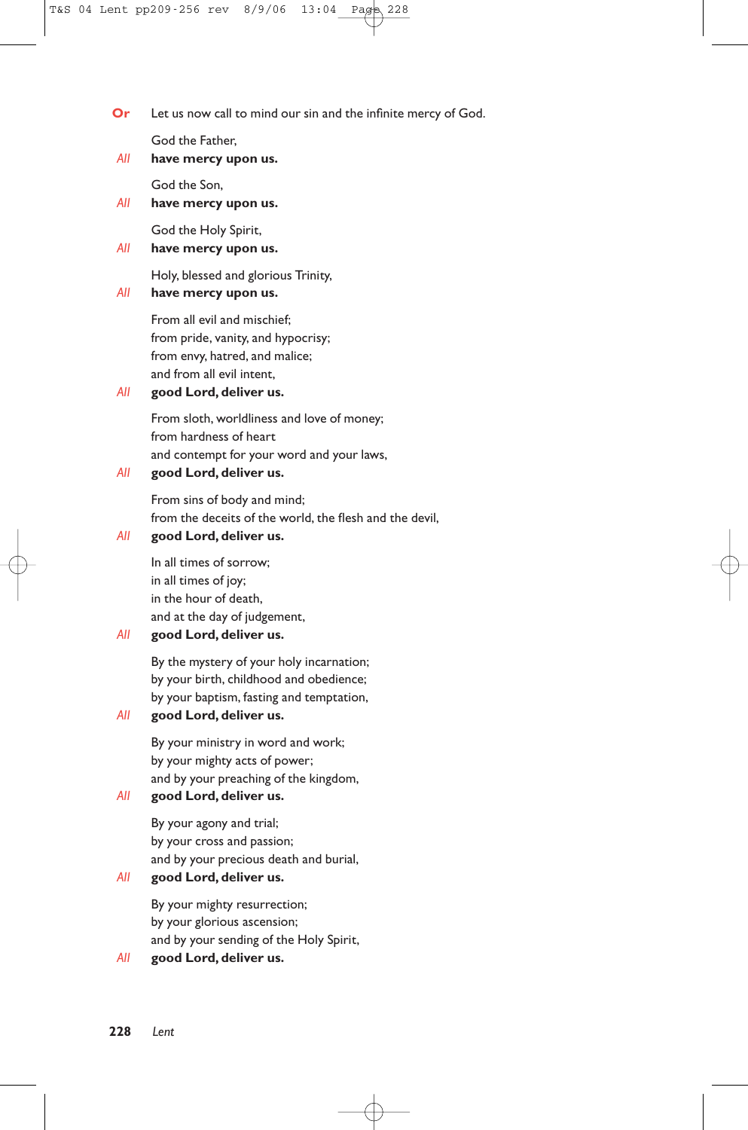**Or** Let us now call to mind our sin and the infinite mercy of God.

God the Father,

*All* **have mercy upon us.**

God the Son,

*All* **have mercy upon us.**

God the Holy Spirit,

*All* **have mercy upon us.**

Holy, blessed and glorious Trinity,

#### *All* **have mercy upon us.**

From all evil and mischief; from pride, vanity, and hypocrisy; from envy, hatred, and malice; and from all evil intent,

#### *All* **good Lord, deliver us.**

From sloth, worldliness and love of money; from hardness of heart and contempt for your word and your laws,

#### *All* **good Lord, deliver us.**

From sins of body and mind; from the deceits of the world, the flesh and the devil,

#### *All* **good Lord, deliver us.**

In all times of sorrow; in all times of joy; in the hour of death, and at the day of judgement,

#### *All* **good Lord, deliver us.**

By the mystery of your holy incarnation; by your birth, childhood and obedience; by your baptism, fasting and temptation,

#### *All* **good Lord, deliver us.**

By your ministry in word and work; by your mighty acts of power; and by your preaching of the kingdom,

#### *All* **good Lord, deliver us.**

By your agony and trial; by your cross and passion; and by your precious death and burial,

#### *All* **good Lord, deliver us.**

By your mighty resurrection; by your glorious ascension; and by your sending of the Holy Spirit,

*All* **good Lord, deliver us.**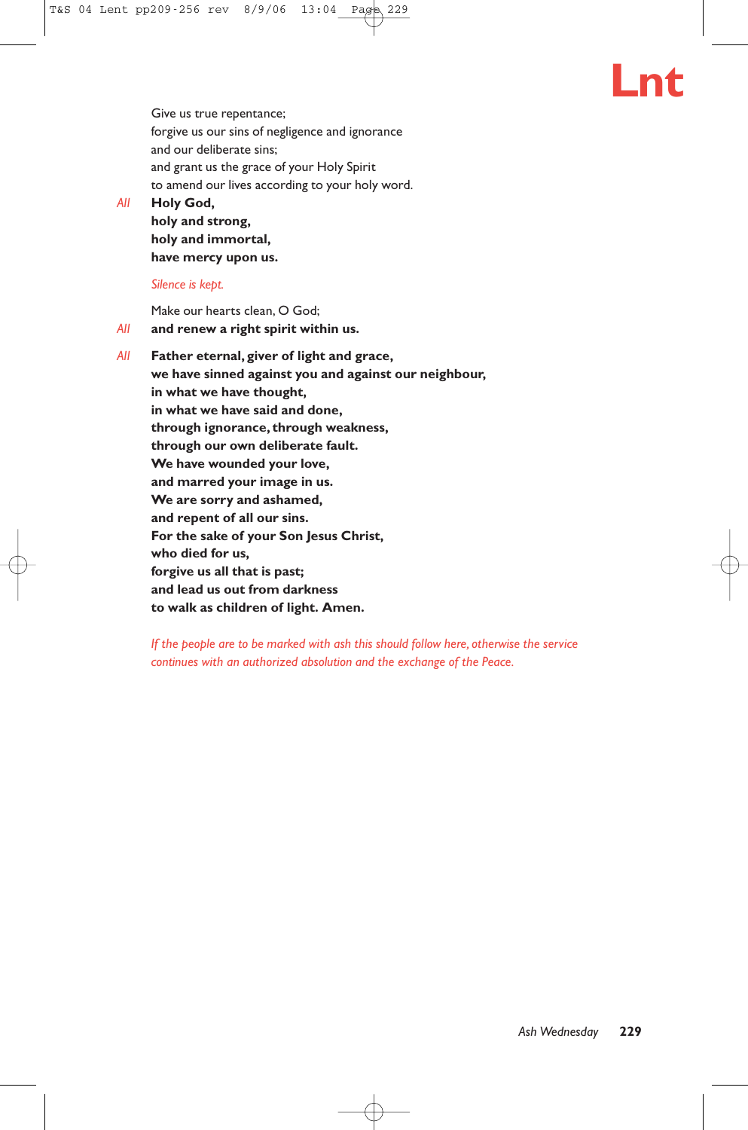Give us true repentance; forgive us our sins of negligence and ignorance and our deliberate sins; and grant us the grace of your Holy Spirit to amend our lives according to your holy word.

# *All* **Holy God,**

**holy and strong, holy and immortal, have mercy upon us.**

#### *Silence is kept.*

Make our hearts clean, O God;

*All* **and renew a right spirit within us.**

*All* **Father eternal, giver of light and grace, we have sinned against you and against our neighbour, in what we have thought, in what we have said and done, through ignorance, through weakness, through our own deliberate fault. We have wounded your love, and marred your image in us. We are sorry and ashamed, and repent of all our sins. For the sake of your Son Jesus Christ, who died for us, forgive us all that is past; and lead us out from darkness to walk as children of light. Amen.**

*If the people are to be marked with ash this should follow here, otherwise the service continues with an authorized absolution and the exchange of the Peace.*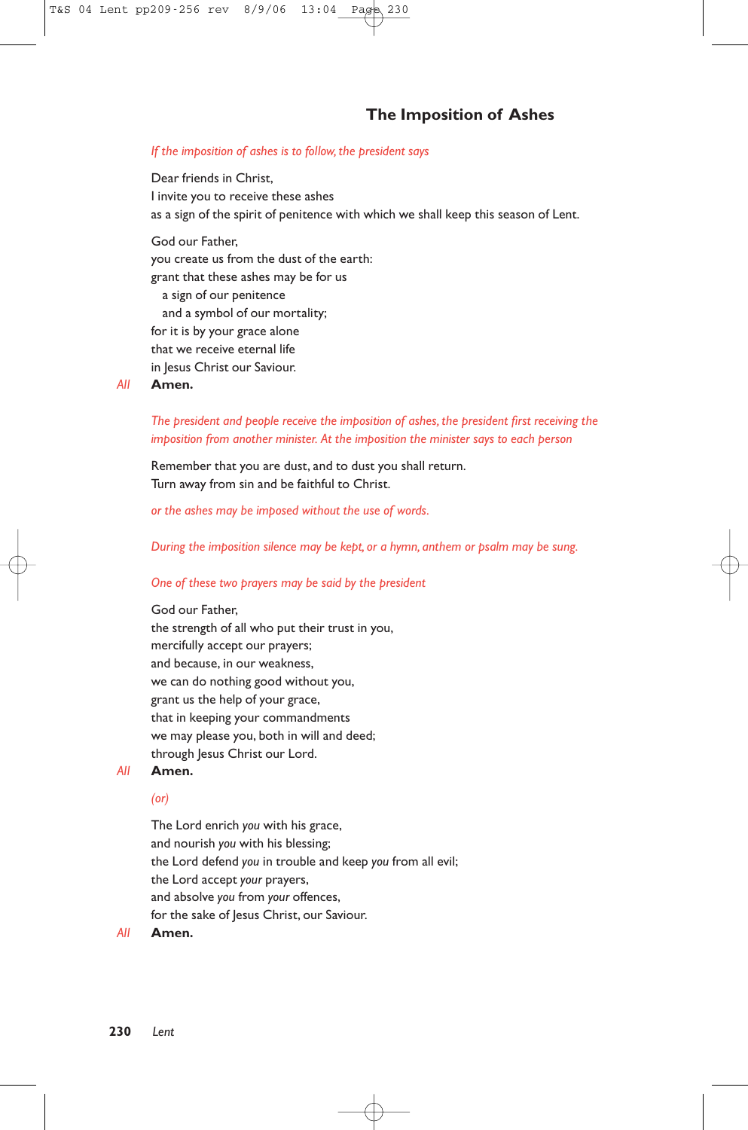# **The Imposition of Ashes**

#### *If the imposition of ashes is to follow, the president says*

Dear friends in Christ, I invite you to receive these ashes as a sign of the spirit of penitence with which we shall keep this season of Lent.

God our Father, you create us from the dust of the earth: grant that these ashes may be for us a sign of our penitence and a symbol of our mortality; for it is by your grace alone that we receive eternal life in Jesus Christ our Saviour.

#### *All* **Amen.**

#### *The president and people receive the imposition of ashes, the president first receiving the imposition from another minister. At the imposition the minister says to each person*

Remember that you are dust, and to dust you shall return. Turn away from sin and be faithful to Christ.

*or the ashes may be imposed without the use of words.*

*During the imposition silence may be kept, or a hymn, anthem or psalm may be sung.*

#### *One of these two prayers may be said by the president*

God our Father, the strength of all who put their trust in you, mercifully accept our prayers; and because, in our weakness, we can do nothing good without you, grant us the help of your grace, that in keeping your commandments we may please you, both in will and deed; through Jesus Christ our Lord.

#### *All* **Amen.**

#### *(or)*

The Lord enrich *you* with his grace, and nourish *you* with his blessing; the Lord defend *you* in trouble and keep *you* from all evil; the Lord accept *your* prayers, and absolve *you* from *your* offences, for the sake of Jesus Christ, our Saviour.

*All* **Amen.**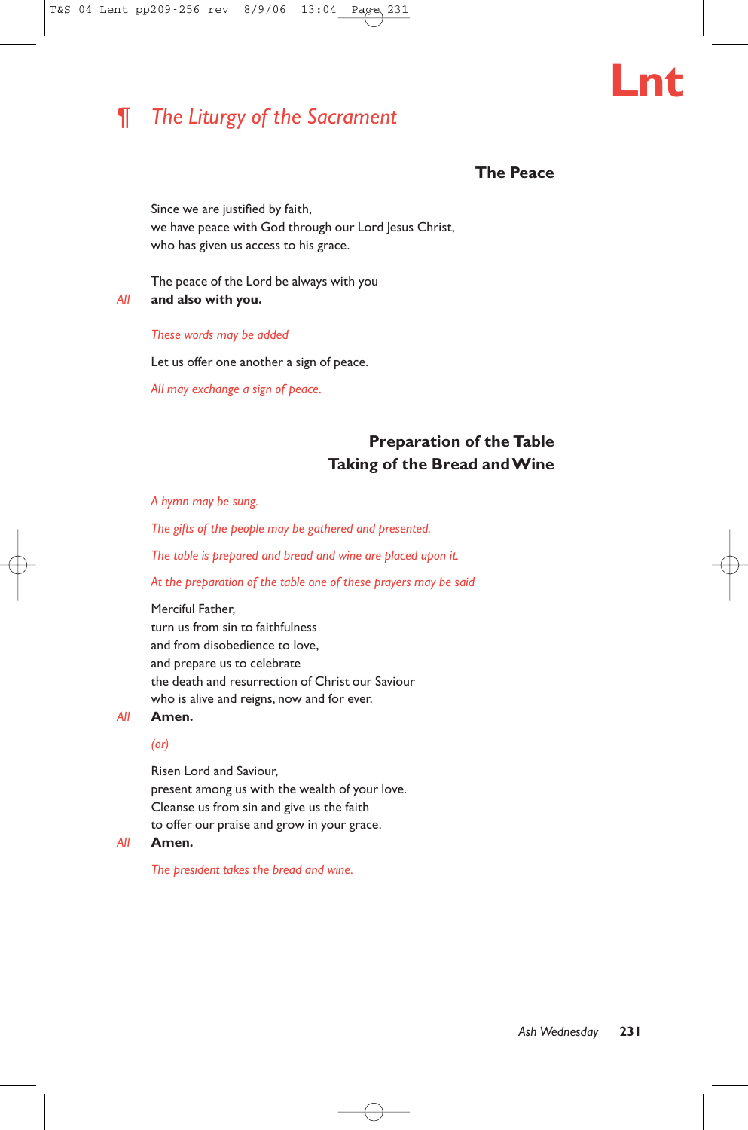# ¶ *The Liturgy of the Sacrament*



### **The Peace**

Since we are justified by faith, we have peace with God through our Lord Jesus Christ, who has given us access to his grace.

The peace of the Lord be always with you *All* **and also with you.**

#### *These words may be added*

Let us offer one another a sign of peace.

*All may exchange a sign of peace.*

# **Preparation of the Table Taking of the Bread and Wine**

*A hymn may be sung.*

*The gifts of the people may be gathered and presented.*

*The table is prepared and bread and wine are placed upon it.*

*At the preparation of the table one of these prayers may be said*

Merciful Father,

turn us from sin to faithfulness and from disobedience to love, and prepare us to celebrate the death and resurrection of Christ our Saviour who is alive and reigns, now and for ever.

#### *All* **Amen.**

#### *(or)*

Risen Lord and Saviour, present among us with the wealth of your love. Cleanse us from sin and give us the faith to offer our praise and grow in your grace.

*All* **Amen.**

*The president takes the bread and wine.*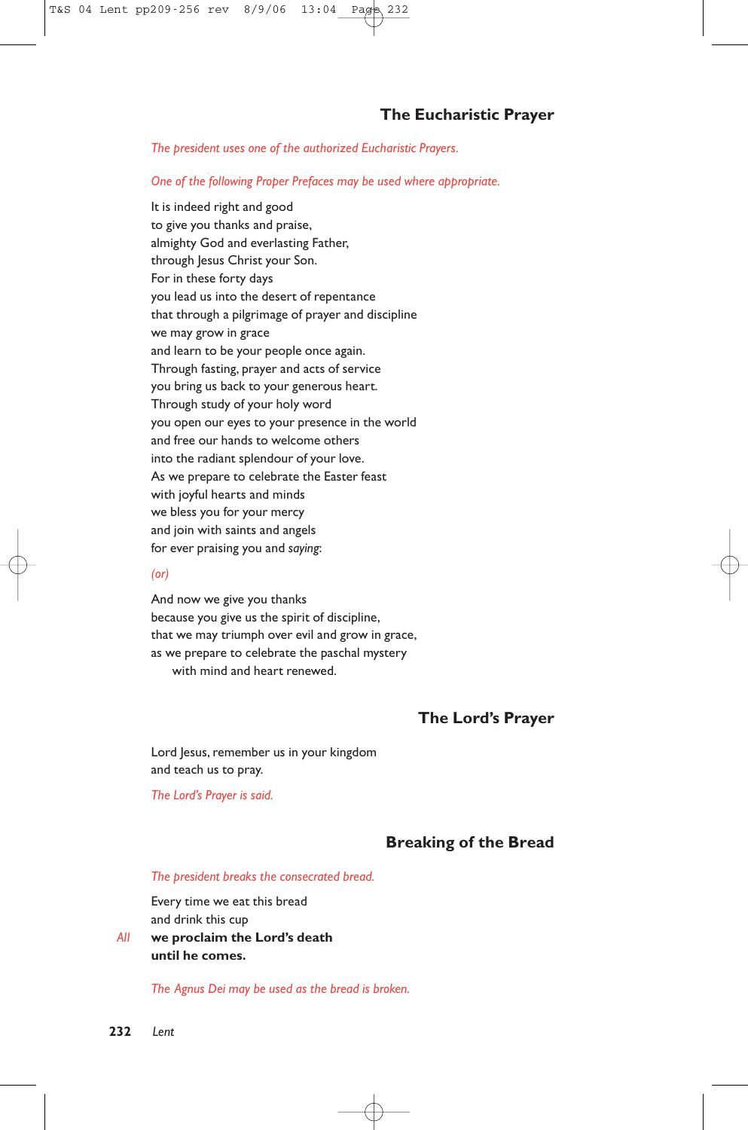#### *The president uses one of the authorized Eucharistic Prayers.*

*One of the following Proper Prefaces may be used where appropriate.*

It is indeed right and good to give you thanks and praise, almighty God and everlasting Father, through Jesus Christ your Son. For in these forty days you lead us into the desert of repentance that through a pilgrimage of prayer and discipline we may grow in grace and learn to be your people once again. Through fasting, prayer and acts of service you bring us back to your generous heart. Through study of your holy word you open our eyes to your presence in the world and free our hands to welcome others into the radiant splendour of your love. As we prepare to celebrate the Easter feast with joyful hearts and minds we bless you for your mercy and join with saints and angels for ever praising you and *saying*:

#### *(or)*

And now we give you thanks because you give us the spirit of discipline, that we may triumph over evil and grow in grace, as we prepare to celebrate the paschal mystery with mind and heart renewed.

#### **The Lord's Prayer**

Lord Jesus, remember us in your kingdom and teach us to pray.

*The Lord's Prayer is said.*

## **Breaking of the Bread**

#### *The president breaks the consecrated bread.*

Every time we eat this bread and drink this cup

*All* **we proclaim the Lord's death until he comes.**

*The Agnus Dei may be used as the bread is broken.*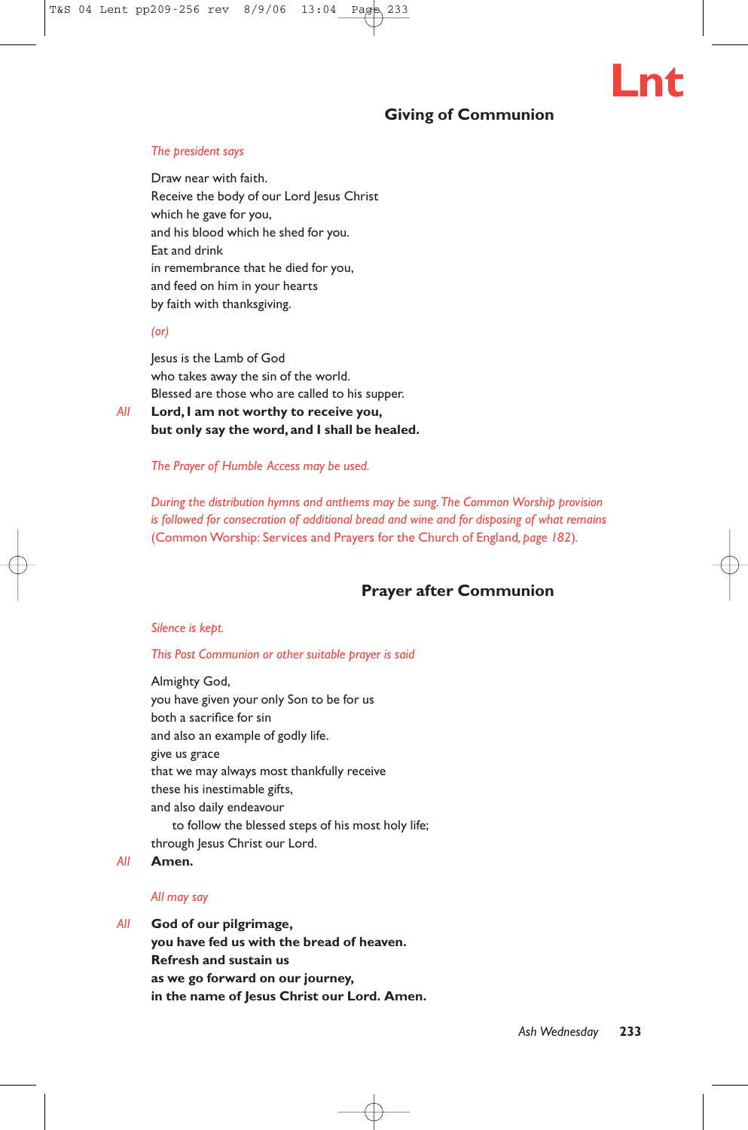# **Giving of Communion**

**Lnt**

#### *The president says*

Draw near with faith. Receive the body of our Lord Jesus Christ which he gave for you, and his blood which he shed for you. Eat and drink in remembrance that he died for you, and feed on him in your hearts by faith with thanksgiving.

#### *(or)*

Jesus is the Lamb of God who takes away the sin of the world. Blessed are those who are called to his supper.

*All* **Lord, I am not worthy to receive you, but only say the word, and I shall be healed.**

#### *The Prayer of Humble Access may be used.*

*During the distribution hymns and anthems may be sung.The Common Worship provision is followed for consecration of additional bread and wine and for disposing of what remains* (Common Worship: Services and Prayers for the Church of England*, page 182*)*.*

## **Prayer after Communion**

#### *Silence is kept.*

#### *This Post Communion or other suitable prayer is said*

Almighty God, you have given your only Son to be for us both a sacrifice for sin and also an example of godly life. give us grace that we may always most thankfully receive these his inestimable gifts, and also daily endeavour to follow the blessed steps of his most holy life; through Jesus Christ our Lord.

#### *All* **Amen.**

#### *All may say*

*All* **God of our pilgrimage, you have fed us with the bread of heaven. Refresh and sustain us as we go forward on our journey, in the name of Jesus Christ our Lord. Amen.**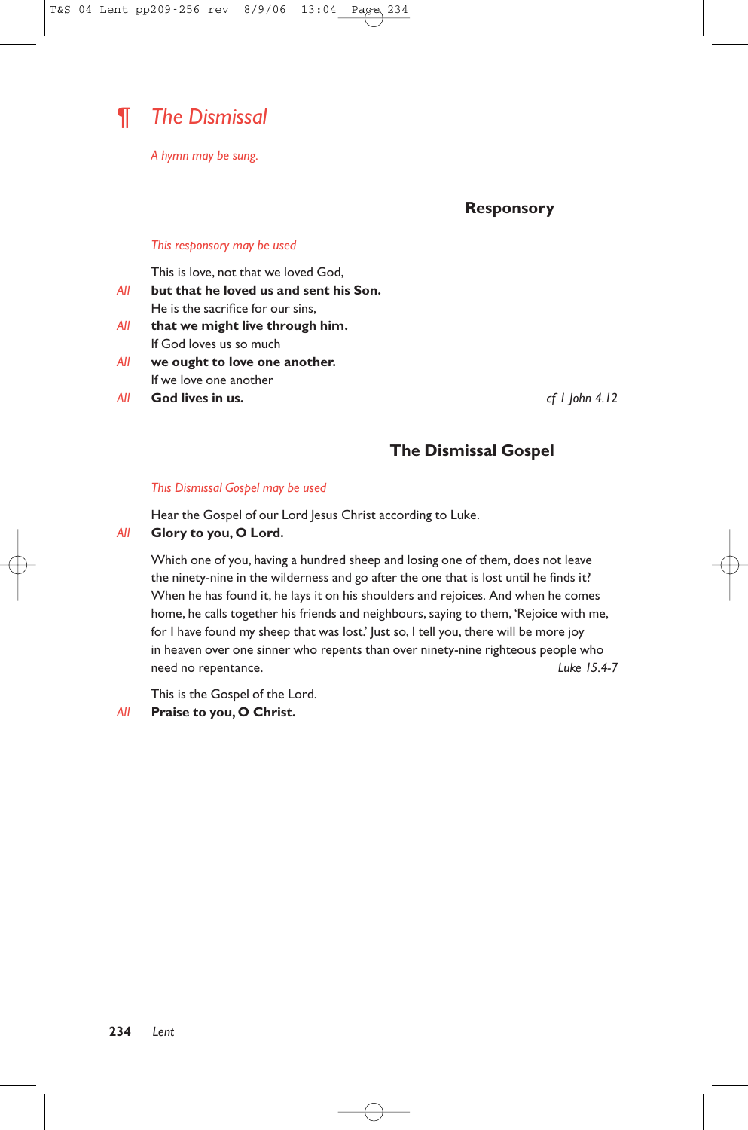

*A hymn may be sung.*

#### **Responsory**

#### *This responsory may be used*

This is love, not that we loved God,

- *All* **but that he loved us and sent his Son.** He is the sacrifice for our sins,
- *All* **that we might live through him.** If God loves us so much
- *All* **we ought to love one another.** If we love one another
- *All* **God lives in us.** *cf 1 John 4.12*

## **The Dismissal Gospel**

#### *This Dismissal Gospel may be used*

Hear the Gospel of our Lord Jesus Christ according to Luke.

#### *All* **Glory to you, O Lord.**

Which one of you, having a hundred sheep and losing one of them, does not leave the ninety-nine in the wilderness and go after the one that is lost until he finds it? When he has found it, he lays it on his shoulders and rejoices. And when he comes home, he calls together his friends and neighbours, saying to them, 'Rejoice with me, for I have found my sheep that was lost.' Just so, I tell you, there will be more joy in heaven over one sinner who repents than over ninety-nine righteous people who need no repentance. *Luke 15.4-7*

This is the Gospel of the Lord.

#### *All* **Praise to you, O Christ.**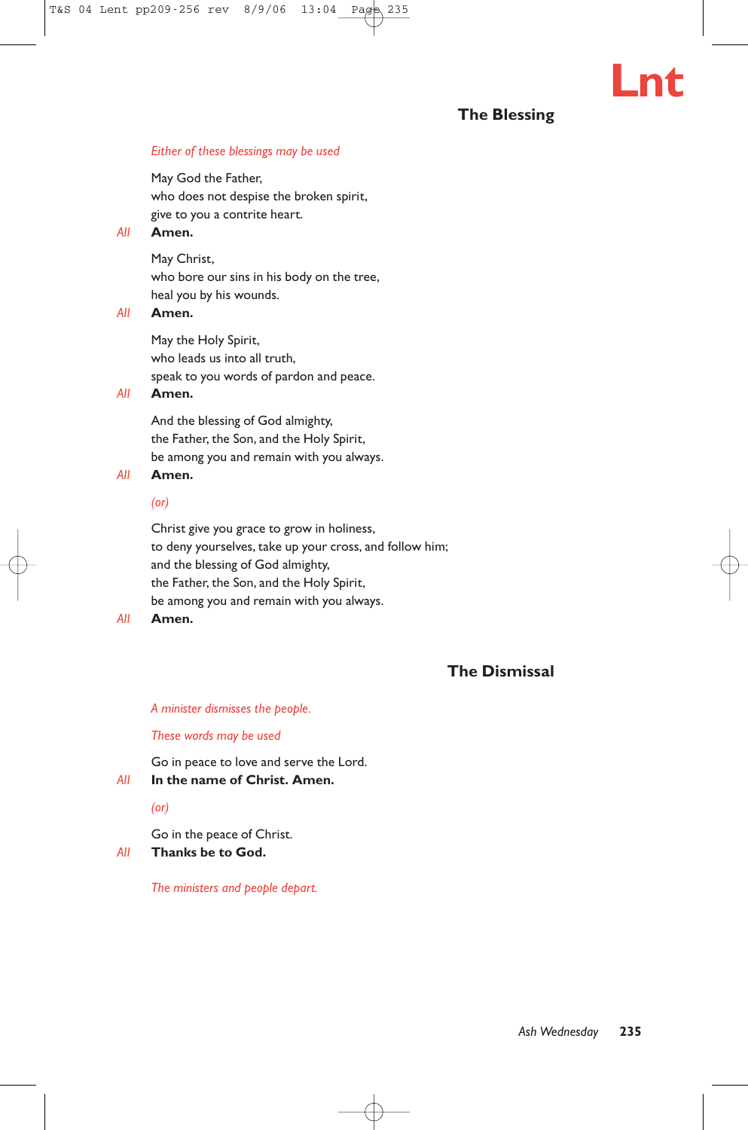# **The Blessing**

**Lnt**

#### *Either of these blessings may be used*

May God the Father, who does not despise the broken spirit, give to you a contrite heart.

#### *All* **Amen.**

May Christ, who bore our sins in his body on the tree, heal you by his wounds.

#### *All* **Amen.**

May the Holy Spirit, who leads us into all truth, speak to you words of pardon and peace.

#### *All* **Amen.**

And the blessing of God almighty, the Father, the Son, and the Holy Spirit, be among you and remain with you always.

#### *All* **Amen.**

#### *(or)*

Christ give you grace to grow in holiness, to deny yourselves, take up your cross, and follow him; and the blessing of God almighty, the Father, the Son, and the Holy Spirit, be among you and remain with you always.

*All* **Amen.**

# **The Dismissal**

#### *A minister dismisses the people.*

*These words may be used*

Go in peace to love and serve the Lord.

*All* **In the name of Christ. Amen.**

#### *(or)*

Go in the peace of Christ.

#### *All* **Thanks be to God.**

*The ministers and people depart.*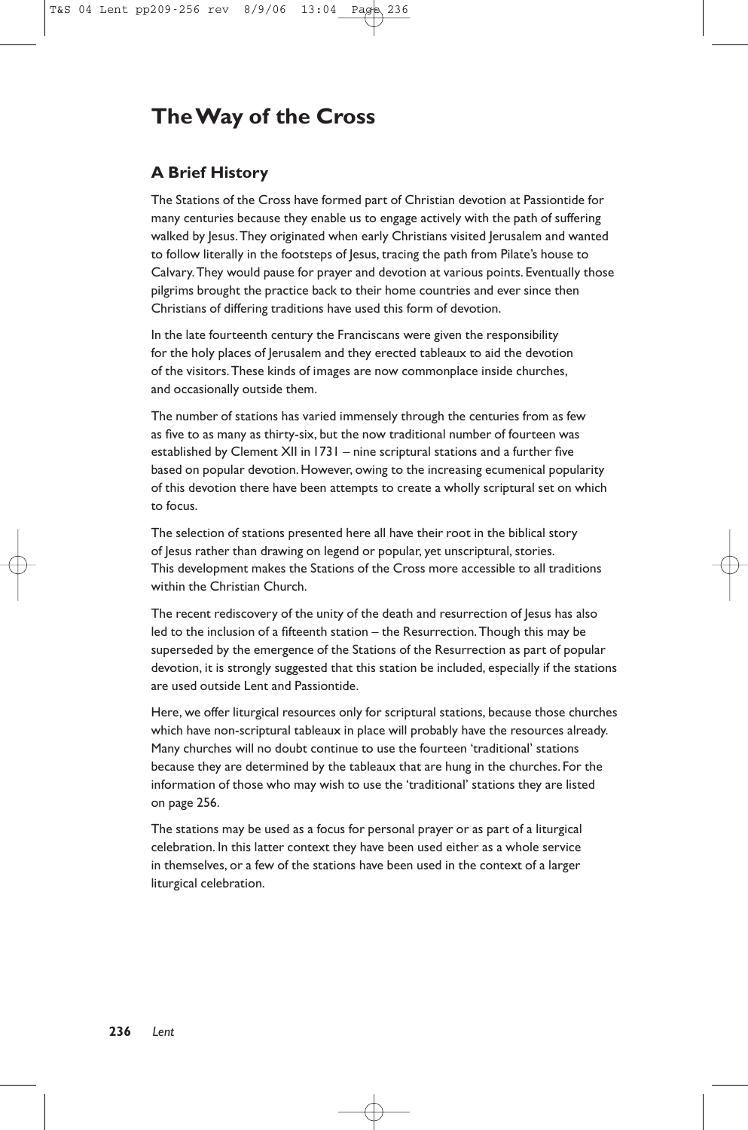# **The Way of the Cross**

# **A Brief History**

The Stations of the Cross have formed part of Christian devotion at Passiontide for many centuries because they enable us to engage actively with the path of suffering walked by Jesus.They originated when early Christians visited Jerusalem and wanted to follow literally in the footsteps of Jesus, tracing the path from Pilate's house to Calvary.They would pause for prayer and devotion at various points. Eventually those pilgrims brought the practice back to their home countries and ever since then Christians of differing traditions have used this form of devotion.

In the late fourteenth century the Franciscans were given the responsibility for the holy places of Jerusalem and they erected tableaux to aid the devotion of the visitors.These kinds of images are now commonplace inside churches, and occasionally outside them.

The number of stations has varied immensely through the centuries from as few as five to as many as thirty-six, but the now traditional number of fourteen was established by Clement XII in 1731 – nine scriptural stations and a further five based on popular devotion. However, owing to the increasing ecumenical popularity of this devotion there have been attempts to create a wholly scriptural set on which to focus.

The selection of stations presented here all have their root in the biblical story of Jesus rather than drawing on legend or popular, yet unscriptural, stories. This development makes the Stations of the Cross more accessible to all traditions within the Christian Church.

The recent rediscovery of the unity of the death and resurrection of Jesus has also led to the inclusion of a fifteenth station – the Resurrection.Though this may be superseded by the emergence of the Stations of the Resurrection as part of popular devotion, it is strongly suggested that this station be included, especially if the stations are used outside Lent and Passiontide.

Here, we offer liturgical resources only for scriptural stations, because those churches which have non-scriptural tableaux in place will probably have the resources already. Many churches will no doubt continue to use the fourteen 'traditional' stations because they are determined by the tableaux that are hung in the churches. For the information of those who may wish to use the 'traditional' stations they are listed on page 256.

The stations may be used as a focus for personal prayer or as part of a liturgical celebration. In this latter context they have been used either as a whole service in themselves, or a few of the stations have been used in the context of a larger liturgical celebration.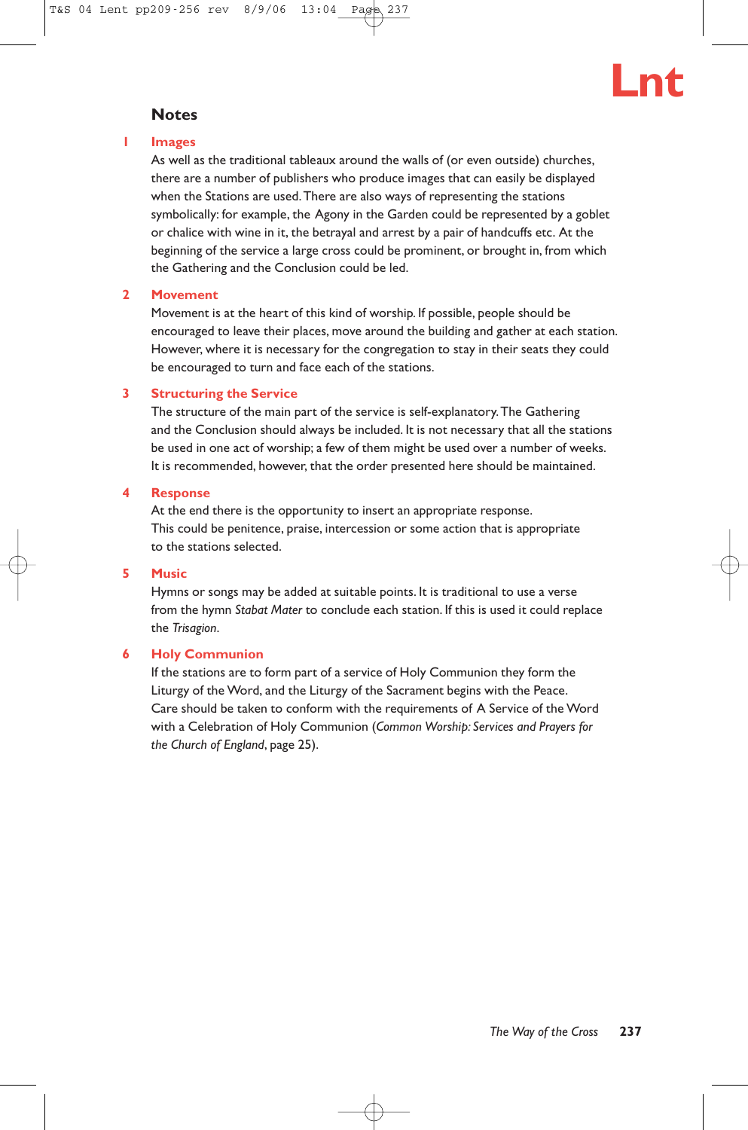

### **Notes**

#### **1 Images**

As well as the traditional tableaux around the walls of (or even outside) churches, there are a number of publishers who produce images that can easily be displayed when the Stations are used.There are also ways of representing the stations symbolically: for example, the Agony in the Garden could be represented by a goblet or chalice with wine in it, the betrayal and arrest by a pair of handcuffs etc. At the beginning of the service a large cross could be prominent, or brought in, from which the Gathering and the Conclusion could be led.

#### **2 Movement**

Movement is at the heart of this kind of worship. If possible, people should be encouraged to leave their places, move around the building and gather at each station. However, where it is necessary for the congregation to stay in their seats they could be encouraged to turn and face each of the stations.

#### **3 Structuring the Service**

The structure of the main part of the service is self-explanatory.The Gathering and the Conclusion should always be included. It is not necessary that all the stations be used in one act of worship; a few of them might be used over a number of weeks. It is recommended, however, that the order presented here should be maintained.

#### **4 Response**

At the end there is the opportunity to insert an appropriate response. This could be penitence, praise, intercession or some action that is appropriate to the stations selected.

#### **5 Music**

Hymns or songs may be added at suitable points. It is traditional to use a verse from the hymn *Stabat Mater* to conclude each station. If this is used it could replace the *Trisagion*.

#### **6 Holy Communion**

If the stations are to form part of a service of Holy Communion they form the Liturgy of the Word, and the Liturgy of the Sacrament begins with the Peace. Care should be taken to conform with the requirements of A Service of the Word with a Celebration of Holy Communion (*Common Worship: Services and Prayers for the Church of England*, page 25).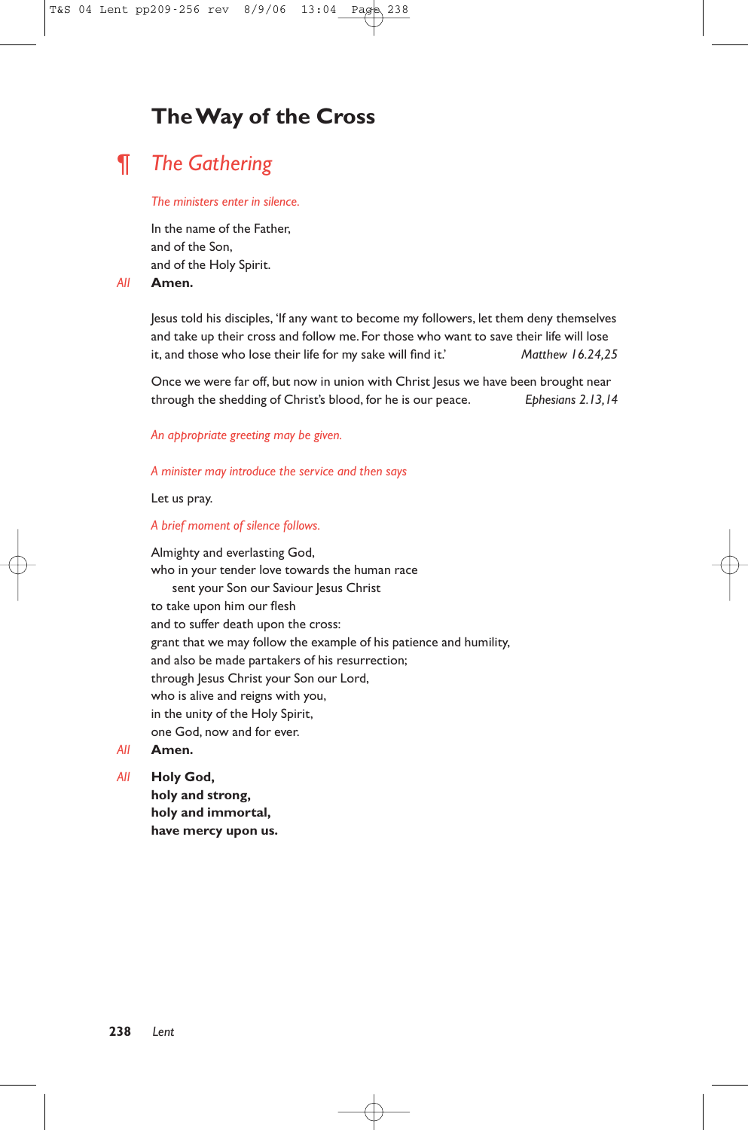# **The Way of the Cross**

# ¶ *The Gathering*

#### *The ministers enter in silence.*

In the name of the Father, and of the Son, and of the Holy Spirit.

#### *All* **Amen.**

Jesus told his disciples, 'If any want to become my followers, let them deny themselves and take up their cross and follow me. For those who want to save their life will lose it, and those who lose their life for my sake will find it.' *Matthew 16.24,25*

Once we were far off, but now in union with Christ Jesus we have been brought near through the shedding of Christ's blood, for he is our peace. *Ephesians 2.13,14*

*An appropriate greeting may be given.*

#### *A minister may introduce the service and then says*

Let us pray.

#### *A brief moment of silence follows.*

Almighty and everlasting God, who in your tender love towards the human race sent your Son our Saviour Jesus Christ to take upon him our flesh and to suffer death upon the cross: grant that we may follow the example of his patience and humility, and also be made partakers of his resurrection; through Jesus Christ your Son our Lord, who is alive and reigns with you, in the unity of the Holy Spirit, one God, now and for ever.

#### *All* **Amen.**

*All* **Holy God, holy and strong,**

**holy and immortal, have mercy upon us.**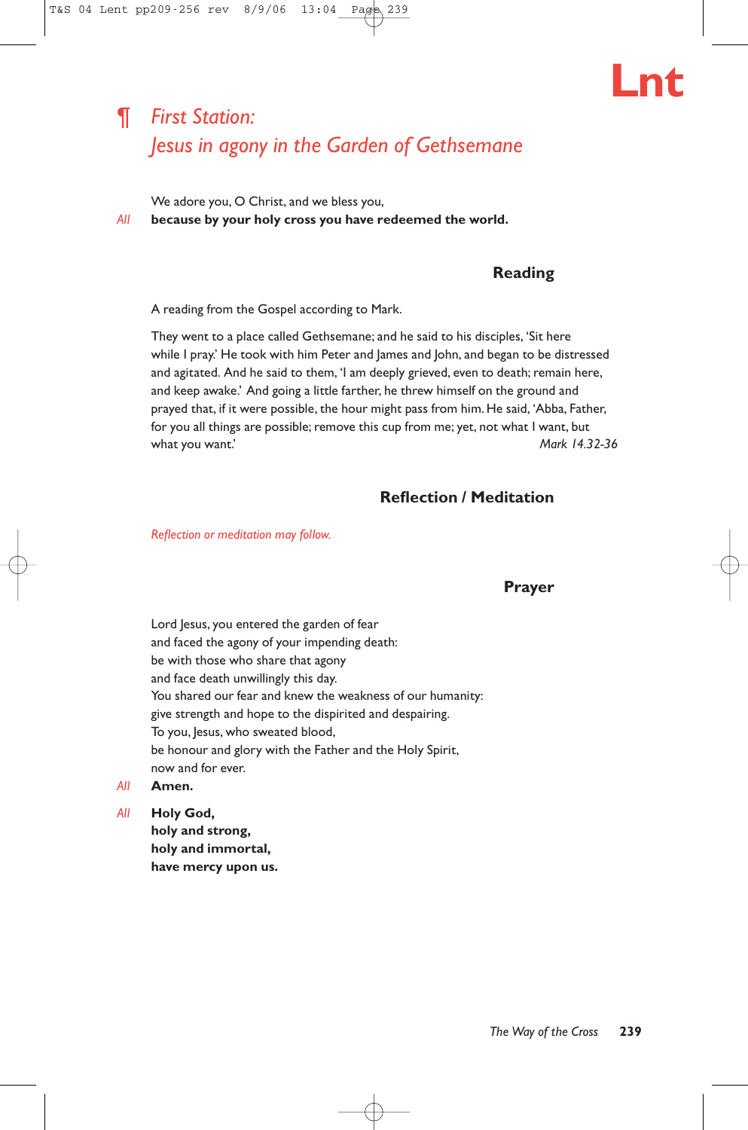# ¶ *First Station: Jesus in agony in the Garden of Gethsemane*

We adore you, O Christ, and we bless you,

*All* **because by your holy cross you have redeemed the world.**

# **Reading**

A reading from the Gospel according to Mark.

They went to a place called Gethsemane; and he said to his disciples, 'Sit here while I pray.' He took with him Peter and James and John, and began to be distressed and agitated. And he said to them, 'I am deeply grieved, even to death; remain here, and keep awake.' And going a little farther, he threw himself on the ground and prayed that, if it were possible, the hour might pass from him. He said, 'Abba, Father, for you all things are possible; remove this cup from me; yet, not what I want, but what you want.' *Mark 14.32-36*

# **Reflection / Meditation**

*Reflection or meditation may follow.*

#### **Prayer**

Lord Jesus, you entered the garden of fear and faced the agony of your impending death: be with those who share that agony and face death unwillingly this day. You shared our fear and knew the weakness of our humanity: give strength and hope to the dispirited and despairing. To you, Jesus, who sweated blood, be honour and glory with the Father and the Holy Spirit, now and for ever.

- *All* **Amen.**
- *All* **Holy God, holy and strong, holy and immortal, have mercy upon us.**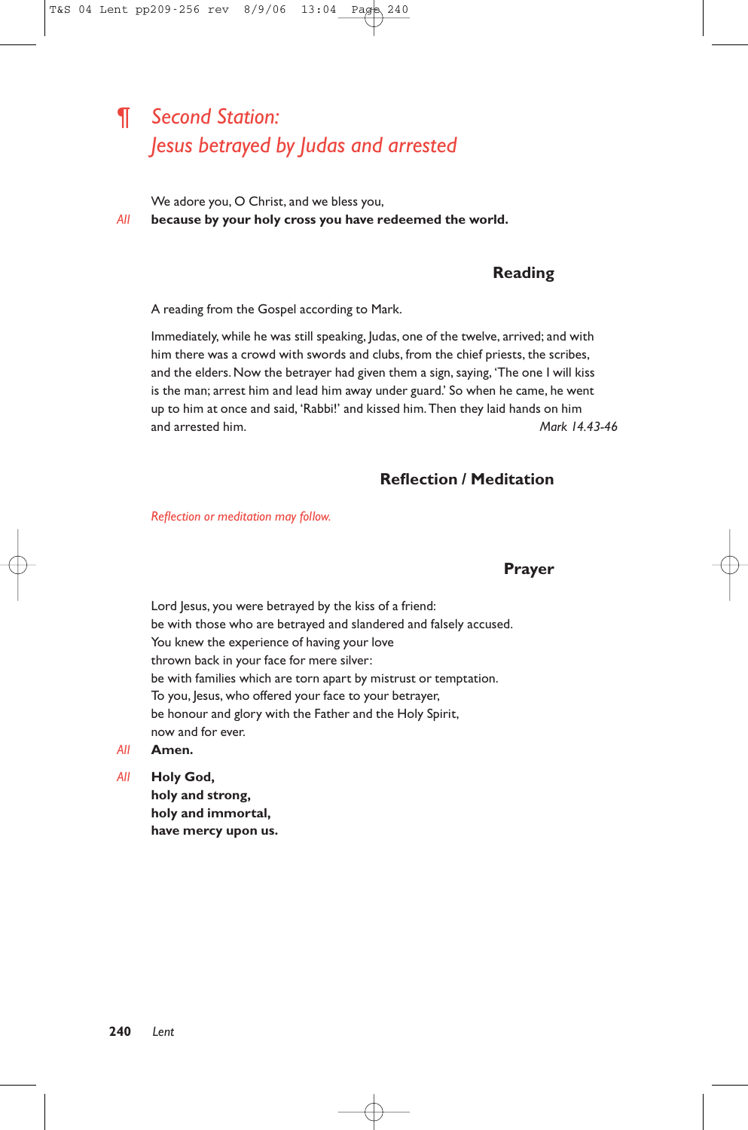# ¶ *Second Station: Jesus betrayed by Judas and arrested*

We adore you, O Christ, and we bless you,

*All* **because by your holy cross you have redeemed the world.**

# **Reading**

A reading from the Gospel according to Mark.

Immediately, while he was still speaking, Judas, one of the twelve, arrived; and with him there was a crowd with swords and clubs, from the chief priests, the scribes, and the elders. Now the betrayer had given them a sign, saying, 'The one I will kiss is the man; arrest him and lead him away under guard.' So when he came, he went up to him at once and said, 'Rabbi!' and kissed him.Then they laid hands on him and arrested him. *Mark 14.43-46*

# **Reflection / Meditation**

*Reflection or meditation may follow.*

## **Prayer**

Lord Jesus, you were betrayed by the kiss of a friend: be with those who are betrayed and slandered and falsely accused. You knew the experience of having your love thrown back in your face for mere silver: be with families which are torn apart by mistrust or temptation. To you, Jesus, who offered your face to your betrayer, be honour and glory with the Father and the Holy Spirit, now and for ever.

- *All* **Amen.**
- *All* **Holy God,**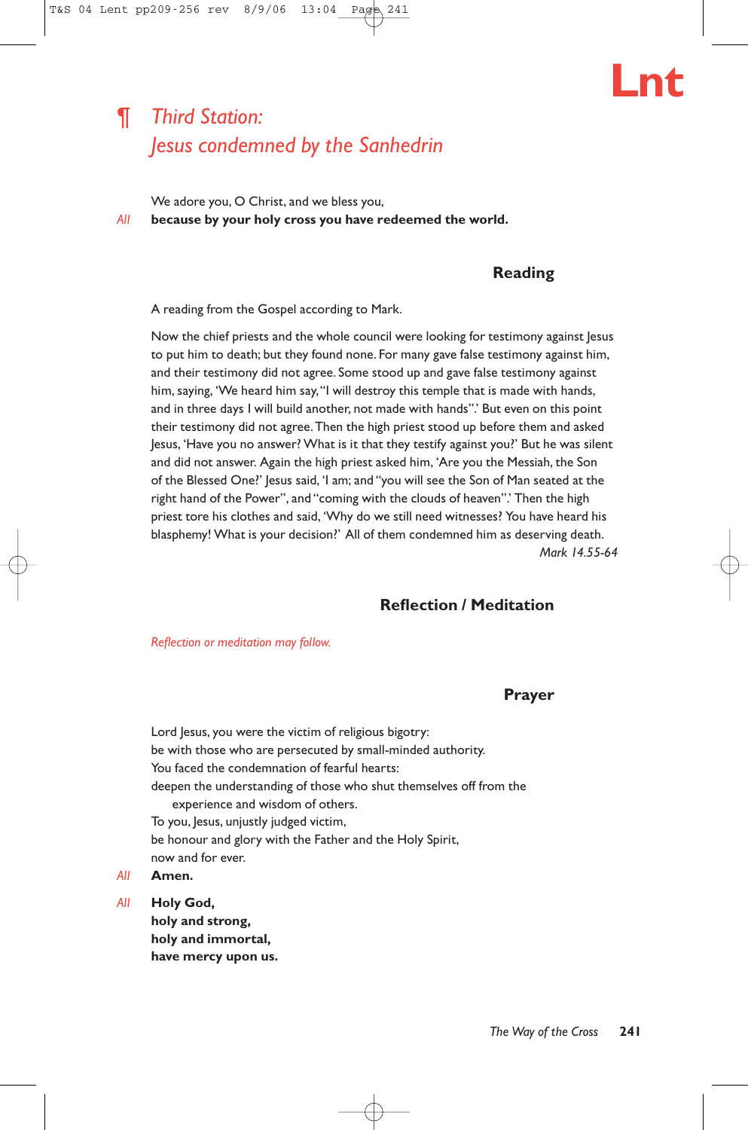# ¶ *Third Station: Jesus condemned by the Sanhedrin*

We adore you, O Christ, and we bless you,

*All* **because by your holy cross you have redeemed the world.**

# **Reading**

A reading from the Gospel according to Mark.

Now the chief priests and the whole council were looking for testimony against lesus to put him to death; but they found none. For many gave false testimony against him, and their testimony did not agree. Some stood up and gave false testimony against him, saying, 'We heard him say,"I will destroy this temple that is made with hands, and in three days I will build another, not made with hands".' But even on this point their testimony did not agree.Then the high priest stood up before them and asked Jesus, 'Have you no answer? What is it that they testify against you?' But he was silent and did not answer. Again the high priest asked him, 'Are you the Messiah, the Son of the Blessed One?' Jesus said, 'I am; and "you will see the Son of Man seated at the right hand of the Power", and "coming with the clouds of heaven".' Then the high priest tore his clothes and said, 'Why do we still need witnesses? You have heard his blasphemy! What is your decision?' All of them condemned him as deserving death. *Mark 14.55-64*

# **Reflection / Meditation**

*Reflection or meditation may follow.*

## **Prayer**

Lord Jesus, you were the victim of religious bigotry: be with those who are persecuted by small-minded authority. You faced the condemnation of fearful hearts: deepen the understanding of those who shut themselves off from the experience and wisdom of others. To you, Jesus, unjustly judged victim, be honour and glory with the Father and the Holy Spirit, now and for ever.

## *All* **Amen.**

## *All* **Holy God,**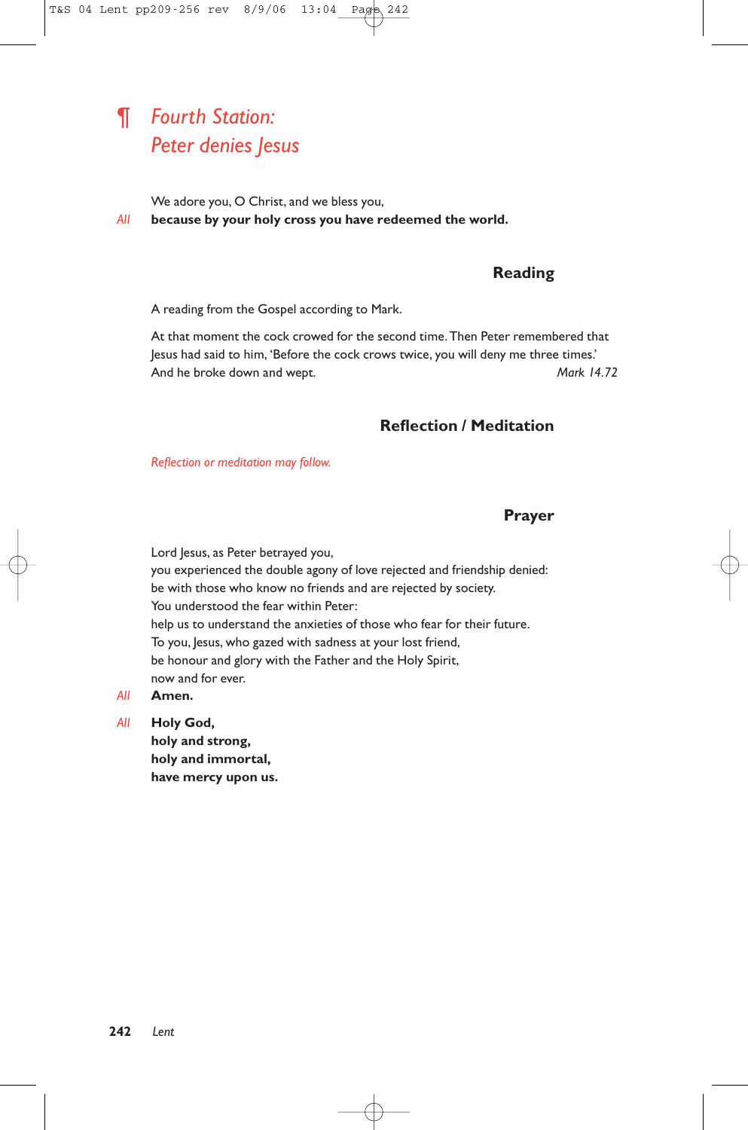# ¶ *Fourth Station: Peter denies Jesus*

We adore you, O Christ, and we bless you,

*All* **because by your holy cross you have redeemed the world.**

# **Reading**

A reading from the Gospel according to Mark.

At that moment the cock crowed for the second time.Then Peter remembered that Jesus had said to him, 'Before the cock crows twice, you will deny me three times.' And he broke down and wept. **And he broke down and wept. Mark 14.72** 

# **Reflection / Meditation**

*Reflection or meditation may follow.*

### **Prayer**

Lord Jesus, as Peter betrayed you,

you experienced the double agony of love rejected and friendship denied: be with those who know no friends and are rejected by society. You understood the fear within Peter: help us to understand the anxieties of those who fear for their future. To you, Jesus, who gazed with sadness at your lost friend, be honour and glory with the Father and the Holy Spirit, now and for ever.

#### *All* **Amen.**

*All* **Holy God,**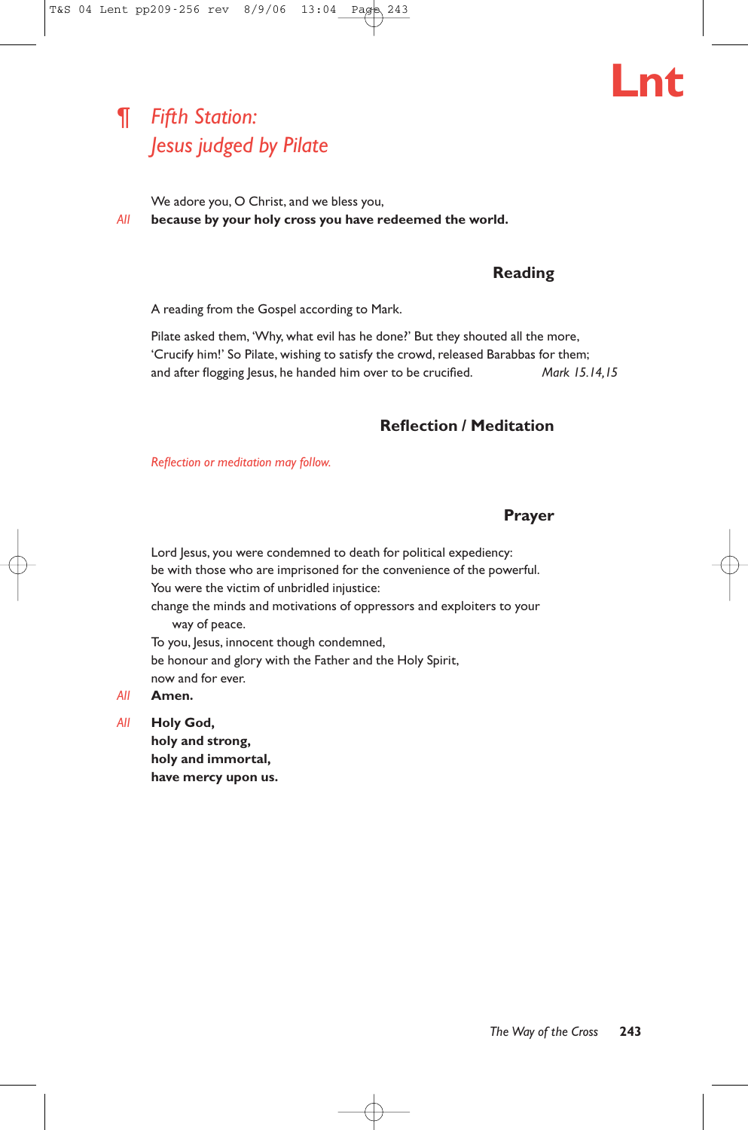# ¶ *Fifth Station: Jesus judged by Pilate*

We adore you, O Christ, and we bless you,

*All* **because by your holy cross you have redeemed the world.**

# **Reading**

**Lnt**

A reading from the Gospel according to Mark.

Pilate asked them, 'Why, what evil has he done?' But they shouted all the more, 'Crucify him!' So Pilate, wishing to satisfy the crowd, released Barabbas for them; and after flogging Jesus, he handed him over to be crucified. *Mark 15.14,15*

# **Reflection / Meditation**

*Reflection or meditation may follow.*

## **Prayer**

Lord Jesus, you were condemned to death for political expediency: be with those who are imprisoned for the convenience of the powerful. You were the victim of unbridled injustice: change the minds and motivations of oppressors and exploiters to your way of peace. To you, Jesus, innocent though condemned, be honour and glory with the Father and the Holy Spirit, now and for ever. *All* **Amen.**

*All* **Holy God,**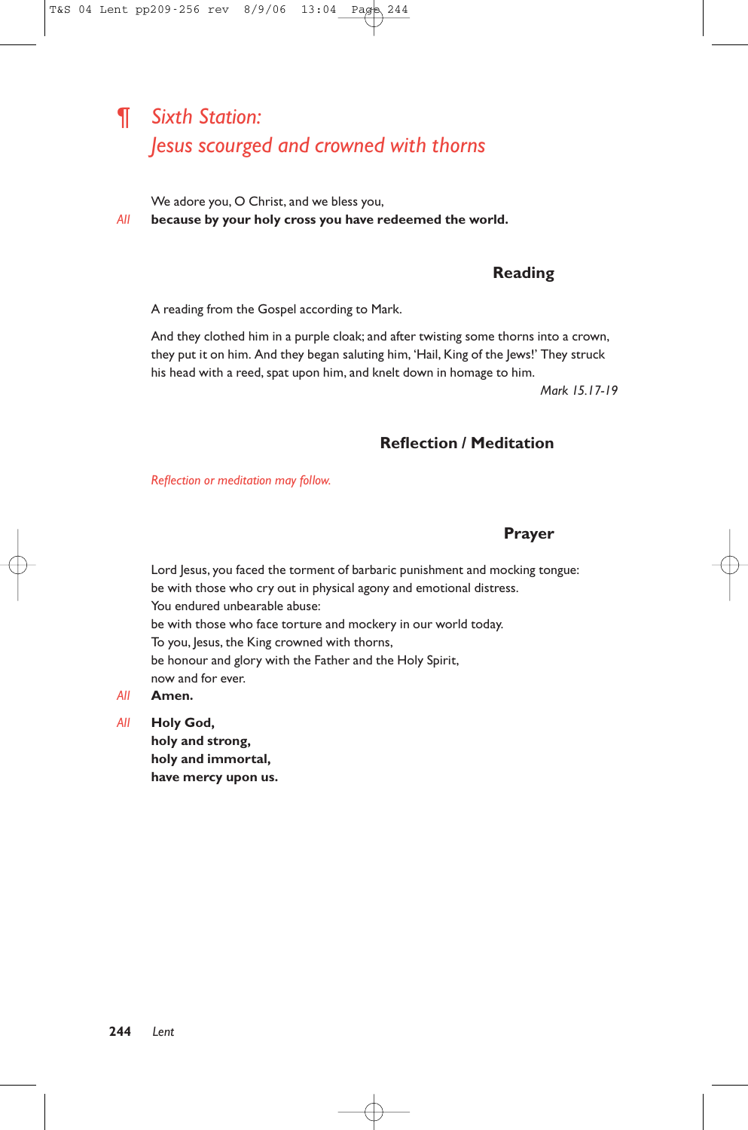# ¶ *Sixth Station: Jesus scourged and crowned with thorns*

We adore you, O Christ, and we bless you,

*All* **because by your holy cross you have redeemed the world.**

# **Reading**

A reading from the Gospel according to Mark.

And they clothed him in a purple cloak; and after twisting some thorns into a crown, they put it on him. And they began saluting him, 'Hail, King of the Jews!' They struck his head with a reed, spat upon him, and knelt down in homage to him.

*Mark 15.17-19*

# **Reflection / Meditation**

*Reflection or meditation may follow.*

# **Prayer**

Lord Jesus, you faced the torment of barbaric punishment and mocking tongue: be with those who cry out in physical agony and emotional distress. You endured unbearable abuse: be with those who face torture and mockery in our world today. To you, Jesus, the King crowned with thorns, be honour and glory with the Father and the Holy Spirit, now and for ever.

### *All* **Amen.**

*All* **Holy God,**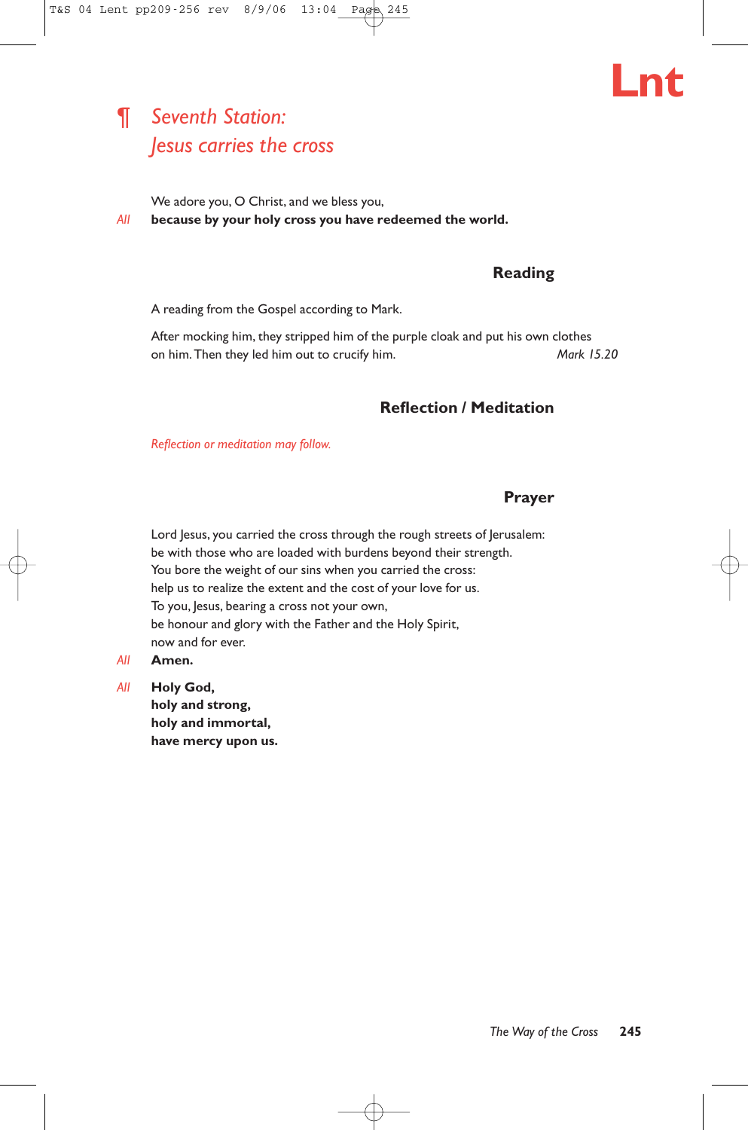# ¶ *Seventh Station: Jesus carries the cross*

We adore you, O Christ, and we bless you,

*All* **because by your holy cross you have redeemed the world.**

# **Reading**

A reading from the Gospel according to Mark.

After mocking him, they stripped him of the purple cloak and put his own clothes on him.Then they led him out to crucify him. *Mark 15.20*

# **Reflection / Meditation**

*Reflection or meditation may follow.*

# **Prayer**

Lord Jesus, you carried the cross through the rough streets of Jerusalem: be with those who are loaded with burdens beyond their strength. You bore the weight of our sins when you carried the cross: help us to realize the extent and the cost of your love for us. To you, Jesus, bearing a cross not your own, be honour and glory with the Father and the Holy Spirit, now and for ever.

- *All* **Amen.**
- *All* **Holy God, holy and strong, holy and immortal, have mercy upon us.**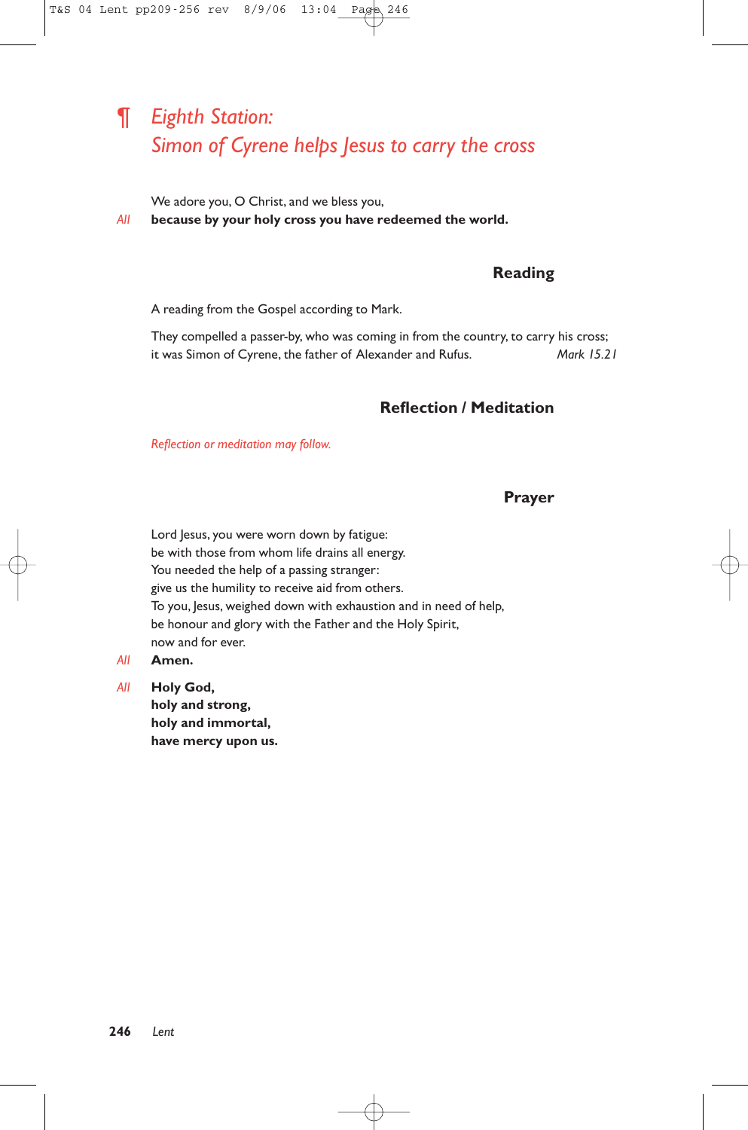# ¶ *Eighth Station: Simon of Cyrene helps Jesus to carry the cross*

We adore you, O Christ, and we bless you,

*All* **because by your holy cross you have redeemed the world.**

## **Reading**

A reading from the Gospel according to Mark.

They compelled a passer-by, who was coming in from the country, to carry his cross; it was Simon of Cyrene, the father of Alexander and Rufus. *Mark 15.21*

# **Reflection / Meditation**

*Reflection or meditation may follow.*

**Prayer**

Lord Jesus, you were worn down by fatigue: be with those from whom life drains all energy. You needed the help of a passing stranger: give us the humility to receive aid from others. To you, Jesus, weighed down with exhaustion and in need of help, be honour and glory with the Father and the Holy Spirit, now and for ever.

- *All* **Amen.**
- *All* **Holy God, holy and strong, holy and immortal, have mercy upon us.**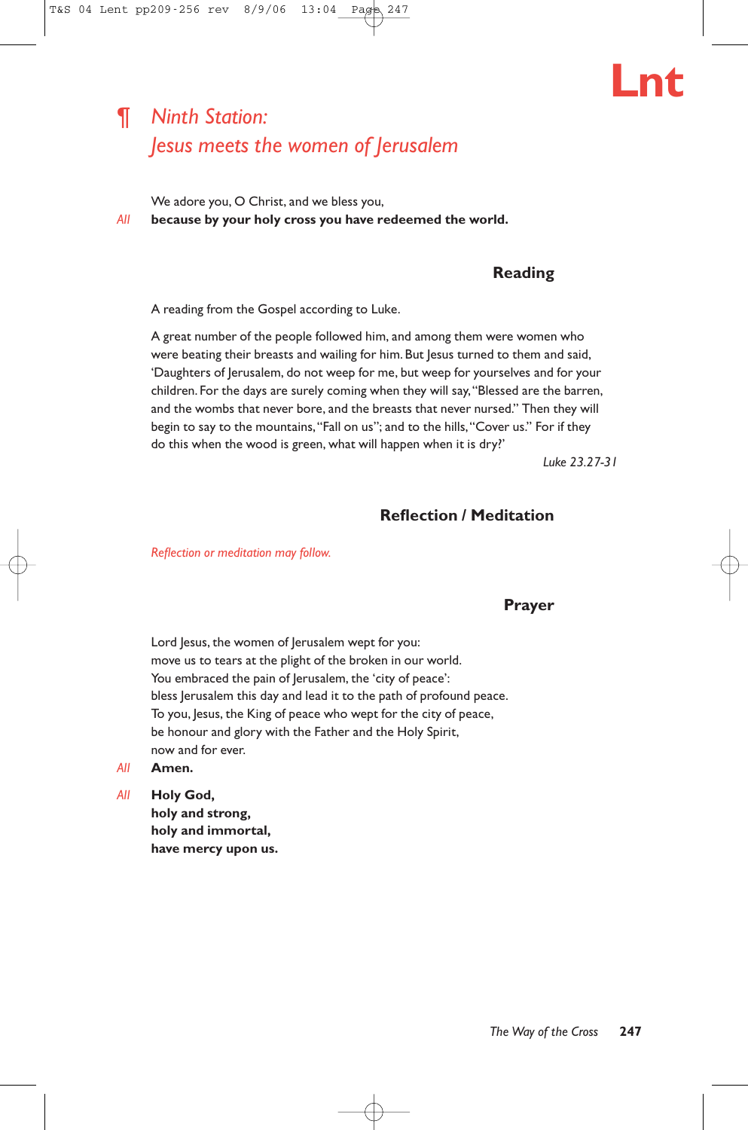# ¶ *Ninth Station: Jesus meets the women of Jerusalem*

We adore you, O Christ, and we bless you,

*All* **because by your holy cross you have redeemed the world.**

# **Reading**

A reading from the Gospel according to Luke.

A great number of the people followed him, and among them were women who were beating their breasts and wailing for him. But Jesus turned to them and said, 'Daughters of Jerusalem, do not weep for me, but weep for yourselves and for your children. For the days are surely coming when they will say,"Blessed are the barren, and the wombs that never bore, and the breasts that never nursed." Then they will begin to say to the mountains,"Fall on us"; and to the hills,"Cover us." For if they do this when the wood is green, what will happen when it is dry?'

*Luke 23.27-31*

# **Reflection / Meditation**

*Reflection or meditation may follow.*

#### **Prayer**

Lord Jesus, the women of Jerusalem wept for you: move us to tears at the plight of the broken in our world. You embraced the pain of Jerusalem, the 'city of peace': bless Jerusalem this day and lead it to the path of profound peace. To you, Jesus, the King of peace who wept for the city of peace, be honour and glory with the Father and the Holy Spirit, now and for ever.

*All* **Amen.**

*All* **Holy God, holy and strong, holy and immortal, have mercy upon us.**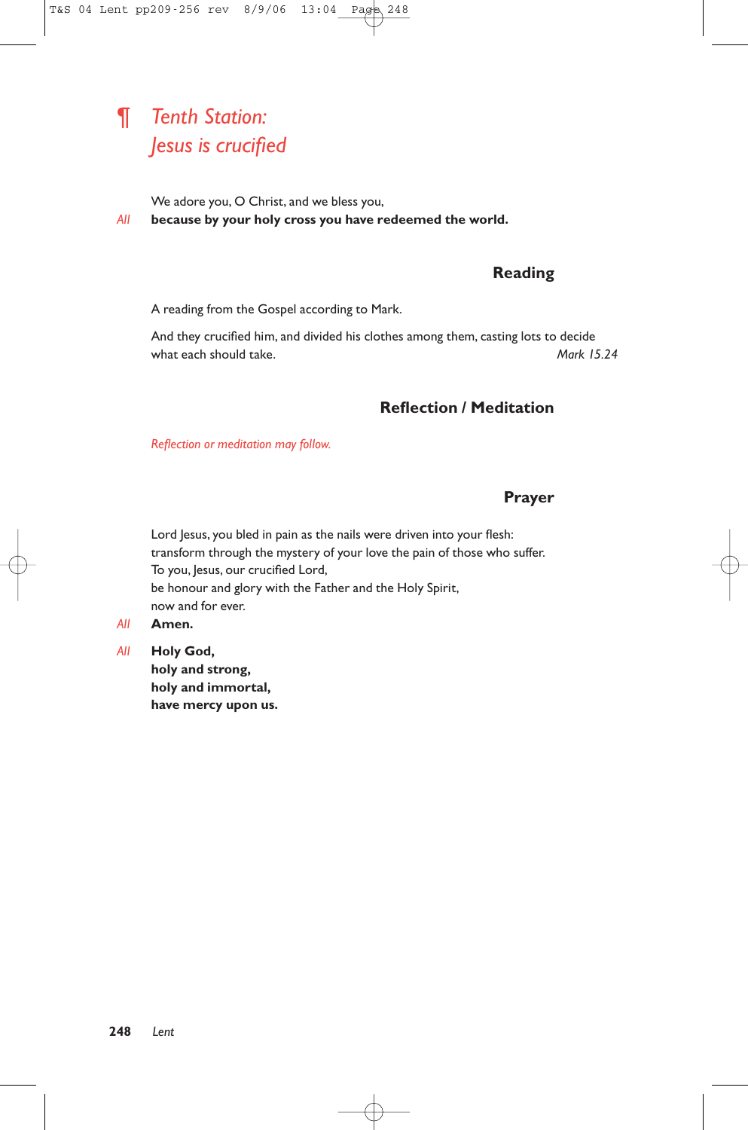

We adore you, O Christ, and we bless you,

*All* **because by your holy cross you have redeemed the world.**

# **Reading**

A reading from the Gospel according to Mark.

And they crucified him, and divided his clothes among them, casting lots to decide what each should take. *Mark 15.24* 

# **Reflection / Meditation**

*Reflection or meditation may follow.*

### **Prayer**

Lord Jesus, you bled in pain as the nails were driven into your flesh: transform through the mystery of your love the pain of those who suffer. To you, Jesus, our crucified Lord, be honour and glory with the Father and the Holy Spirit, now and for ever.

*All* **Amen.**

*All* **Holy God, holy and strong, holy and immortal, have mercy upon us.**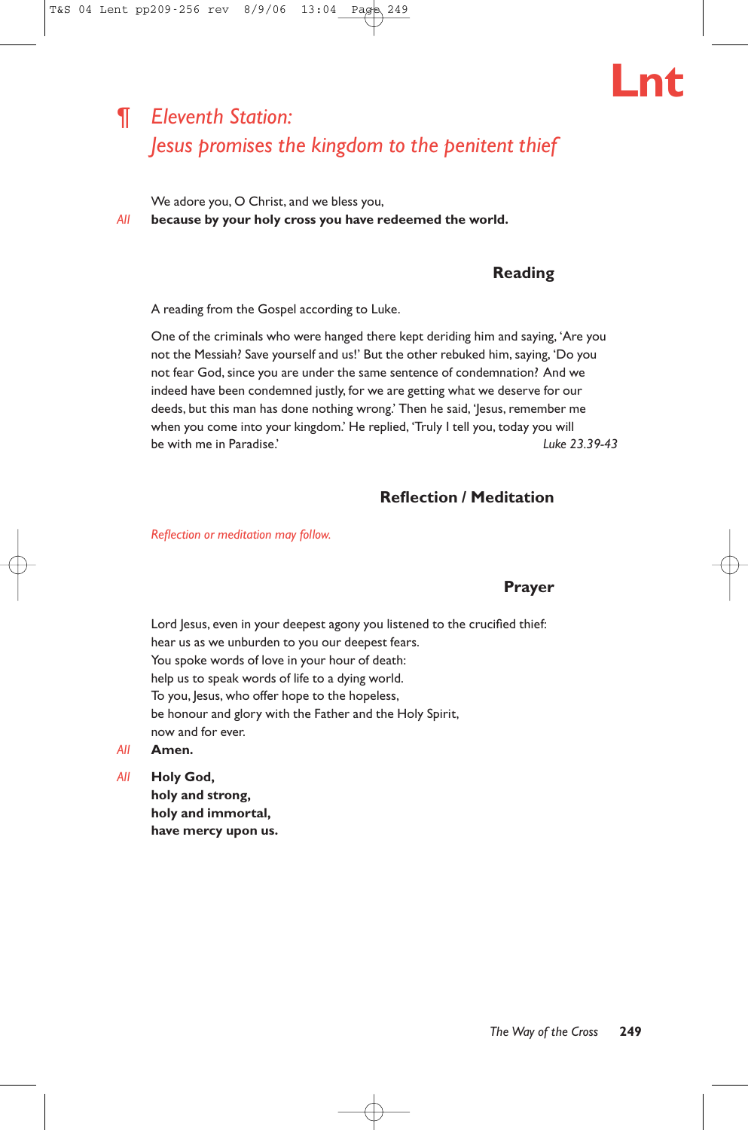# ¶ *Eleventh Station: Jesus promises the kingdom to the penitent thief*

We adore you, O Christ, and we bless you, *All* **because by your holy cross you have redeemed the world.**

# **Reading**

A reading from the Gospel according to Luke.

One of the criminals who were hanged there kept deriding him and saying, 'Are you not the Messiah? Save yourself and us!' But the other rebuked him, saying, 'Do you not fear God, since you are under the same sentence of condemnation? And we indeed have been condemned justly, for we are getting what we deserve for our deeds, but this man has done nothing wrong.' Then he said, 'Jesus, remember me when you come into your kingdom.' He replied, 'Truly I tell you, today you will be with me in Paradise.' *Luke 23.39-43*

# **Reflection / Meditation**

*Reflection or meditation may follow.*

# **Prayer**

Lord Jesus, even in your deepest agony you listened to the crucified thief: hear us as we unburden to you our deepest fears. You spoke words of love in your hour of death: help us to speak words of life to a dying world. To you, Jesus, who offer hope to the hopeless, be honour and glory with the Father and the Holy Spirit, now and for ever.

- *All* **Amen.**
- *All* **Holy God, holy and strong,**

**holy and immortal, have mercy upon us.**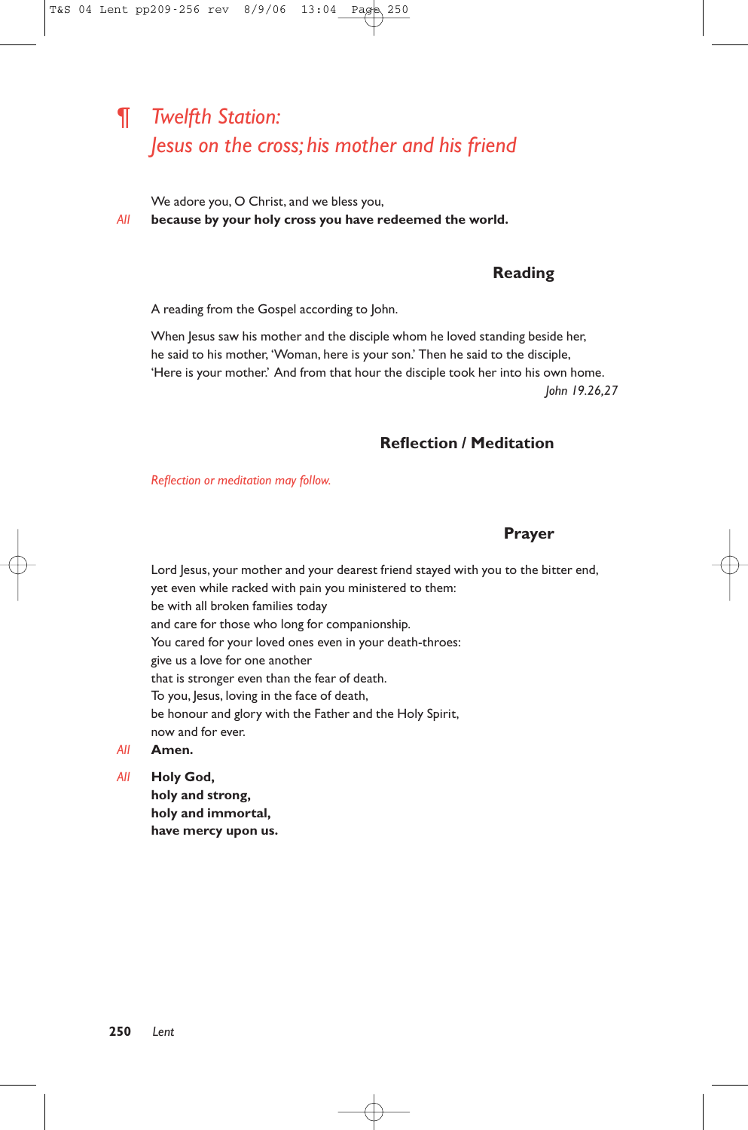# ¶ *Twelfth Station: Jesus on the cross; his mother and his friend*

We adore you, O Christ, and we bless you,

*All* **because by your holy cross you have redeemed the world.**

# **Reading**

A reading from the Gospel according to John.

When Jesus saw his mother and the disciple whom he loved standing beside her, he said to his mother, 'Woman, here is your son.' Then he said to the disciple, 'Here is your mother.' And from that hour the disciple took her into his own home. *John 19.26,27*

# **Reflection / Meditation**

*Reflection or meditation may follow.*

# **Prayer**

Lord Jesus, your mother and your dearest friend stayed with you to the bitter end, yet even while racked with pain you ministered to them: be with all broken families today and care for those who long for companionship. You cared for your loved ones even in your death-throes: give us a love for one another that is stronger even than the fear of death. To you, Jesus, loving in the face of death, be honour and glory with the Father and the Holy Spirit, now and for ever.

- *All* **Amen.**
- *All* **Holy God, holy and strong, holy and immortal, have mercy upon us.**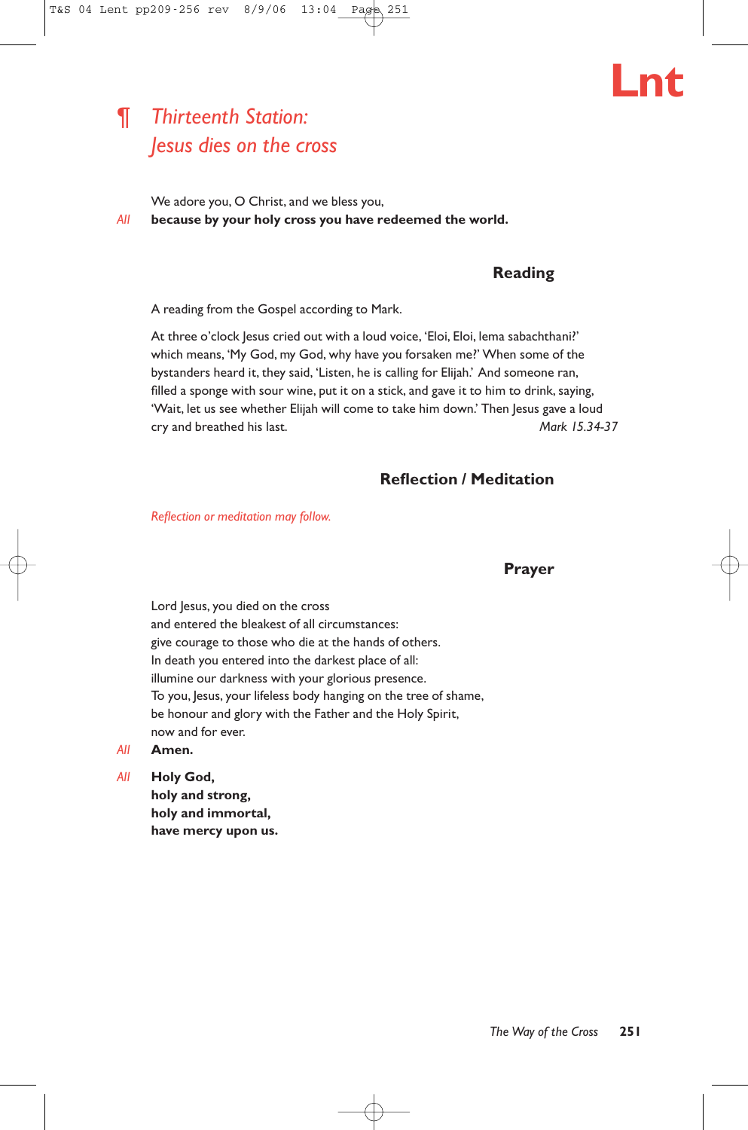# ¶ *Thirteenth Station: Jesus dies on the cross*

We adore you, O Christ, and we bless you, *All* **because by your holy cross you have redeemed the world.**

# **Reading**

A reading from the Gospel according to Mark.

At three o'clock Jesus cried out with a loud voice, 'Eloi, Eloi, lema sabachthani?' which means, 'My God, my God, why have you forsaken me?' When some of the bystanders heard it, they said, 'Listen, he is calling for Elijah.' And someone ran, filled a sponge with sour wine, put it on a stick, and gave it to him to drink, saying, 'Wait, let us see whether Elijah will come to take him down.' Then Jesus gave a loud cry and breathed his last. *Mark 15.34-37*

# **Reflection / Meditation**

*Reflection or meditation may follow.*

**Prayer**

Lord Jesus, you died on the cross and entered the bleakest of all circumstances: give courage to those who die at the hands of others. In death you entered into the darkest place of all: illumine our darkness with your glorious presence. To you, Jesus, your lifeless body hanging on the tree of shame, be honour and glory with the Father and the Holy Spirit, now and for ever.

- *All* **Amen.**
- *All* **Holy God,**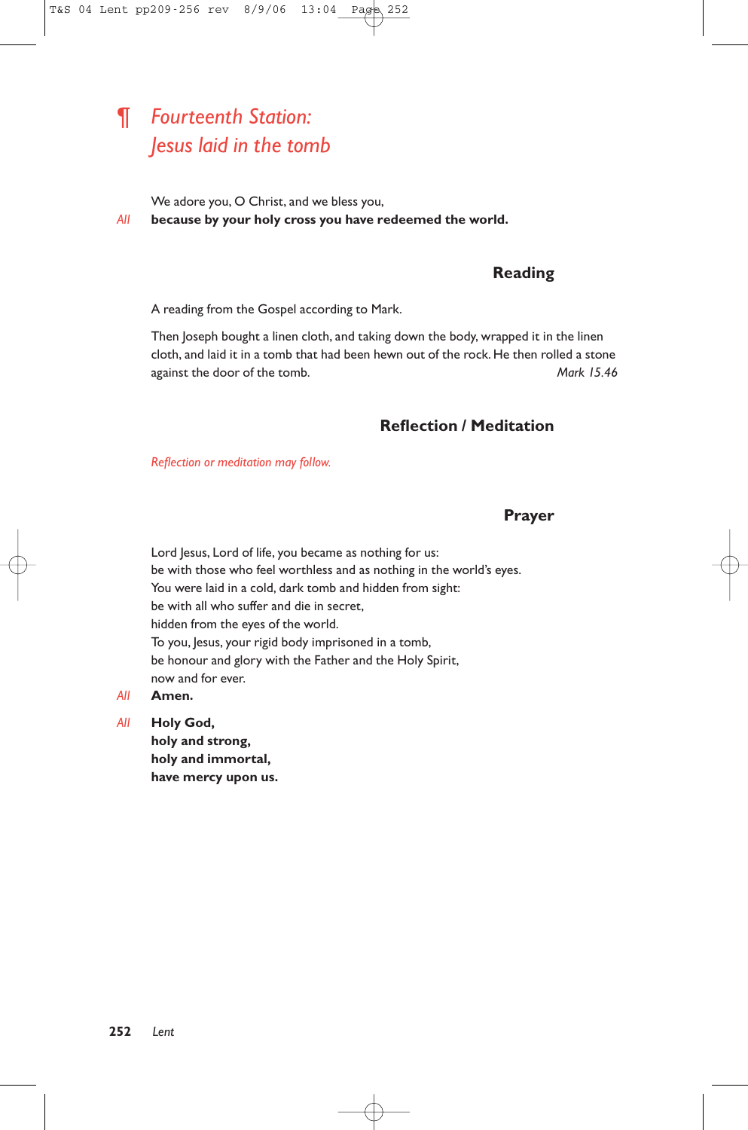

We adore you, O Christ, and we bless you, *All* **because by your holy cross you have redeemed the world.**

# **Reading**

A reading from the Gospel according to Mark.

Then Joseph bought a linen cloth, and taking down the body, wrapped it in the linen cloth, and laid it in a tomb that had been hewn out of the rock. He then rolled a stone against the door of the tomb. *Mark 15.46*

# **Reflection / Meditation**

*Reflection or meditation may follow.*

#### **Prayer**

Lord Jesus, Lord of life, you became as nothing for us: be with those who feel worthless and as nothing in the world's eyes. You were laid in a cold, dark tomb and hidden from sight: be with all who suffer and die in secret, hidden from the eyes of the world. To you, Jesus, your rigid body imprisoned in a tomb, be honour and glory with the Father and the Holy Spirit, now and for ever.

#### *All* **Amen.**

*All* **Holy God,**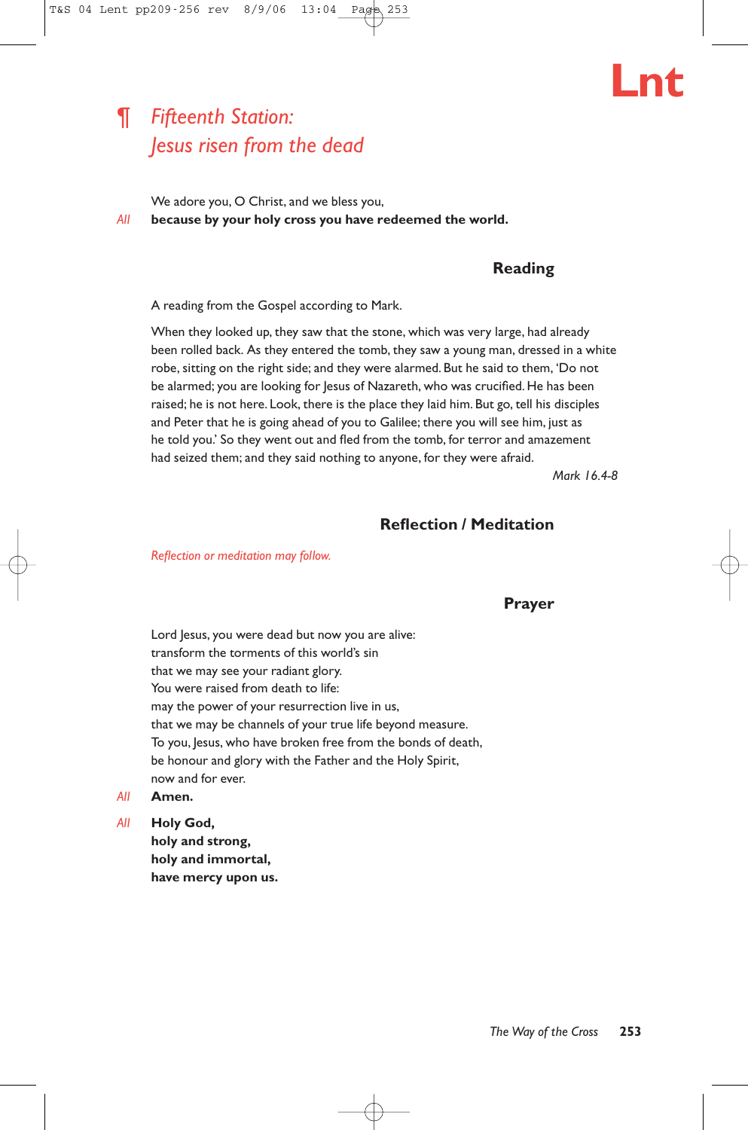# ¶ *Fifteenth Station: Jesus risen from the dead*

We adore you, O Christ, and we bless you, *All* **because by your holy cross you have redeemed the world.**

# **Reading**

A reading from the Gospel according to Mark.

When they looked up, they saw that the stone, which was very large, had already been rolled back. As they entered the tomb, they saw a young man, dressed in a white robe, sitting on the right side; and they were alarmed. But he said to them, 'Do not be alarmed; you are looking for Jesus of Nazareth, who was crucified. He has been raised; he is not here. Look, there is the place they laid him. But go, tell his disciples and Peter that he is going ahead of you to Galilee; there you will see him, just as he told you.' So they went out and fled from the tomb, for terror and amazement had seized them; and they said nothing to anyone, for they were afraid.

*Mark 16.4-8*

# **Reflection / Meditation**

*Reflection or meditation may follow.*

## **Prayer**

Lord Jesus, you were dead but now you are alive: transform the torments of this world's sin that we may see your radiant glory. You were raised from death to life: may the power of your resurrection live in us, that we may be channels of your true life beyond measure. To you, Jesus, who have broken free from the bonds of death, be honour and glory with the Father and the Holy Spirit, now and for ever.

- *All* **Amen.**
- *All* **Holy God, holy and strong, holy and immortal,**

**have mercy upon us.**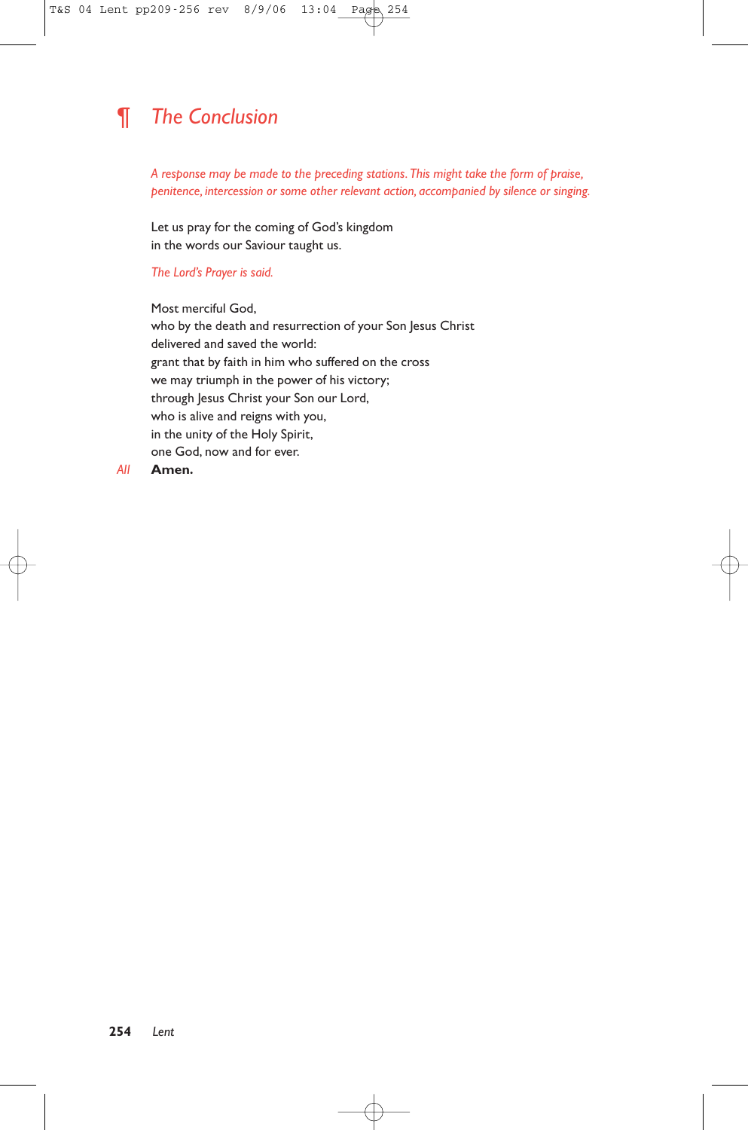# ¶ *The Conclusion*

*A response may be made to the preceding stations.This might take the form of praise, penitence, intercession or some other relevant action, accompanied by silence or singing.*

Let us pray for the coming of God's kingdom in the words our Saviour taught us.

#### *The Lord's Prayer is said.*

Most merciful God, who by the death and resurrection of your Son Jesus Christ delivered and saved the world: grant that by faith in him who suffered on the cross we may triumph in the power of his victory; through Jesus Christ your Son our Lord, who is alive and reigns with you, in the unity of the Holy Spirit, one God, now and for ever.

*All* **Amen.**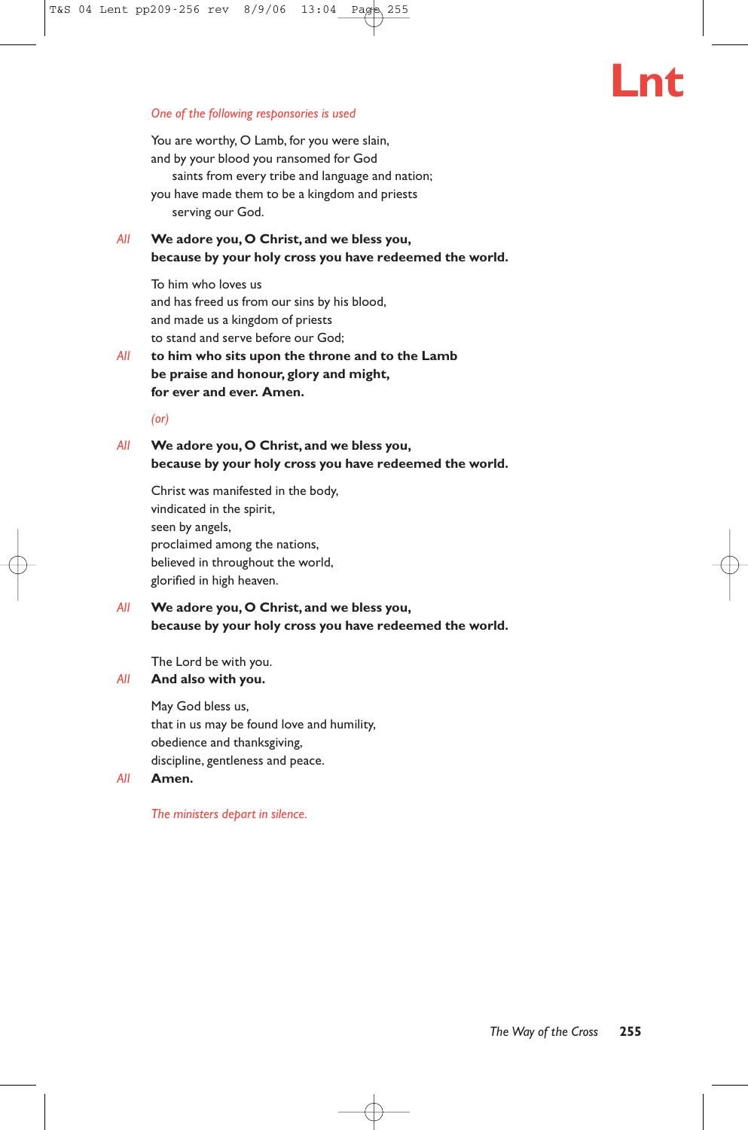#### *One of the following responsories is used*

You are worthy, O Lamb, for you were slain, and by your blood you ransomed for God saints from every tribe and language and nation; you have made them to be a kingdom and priests serving our God.

*All* **We adore you, O Christ, and we bless you, because by your holy cross you have redeemed the world.**

To him who loves us and has freed us from our sins by his blood, and made us a kingdom of priests to stand and serve before our God;

#### *All* **to him who sits upon the throne and to the Lamb be praise and honour, glory and might, for ever and ever. Amen.**

*(or)*

### *All* **We adore you, O Christ, and we bless you, because by your holy cross you have redeemed the world.**

Christ was manifested in the body, vindicated in the spirit, seen by angels, proclaimed among the nations, believed in throughout the world, glorified in high heaven.

### *All* **We adore you, O Christ, and we bless you, because by your holy cross you have redeemed the world.**

The Lord be with you.

#### *All* **And also with you.**

May God bless us, that in us may be found love and humility, obedience and thanksgiving, discipline, gentleness and peace.

*All* **Amen.**

*The ministers depart in silence.*